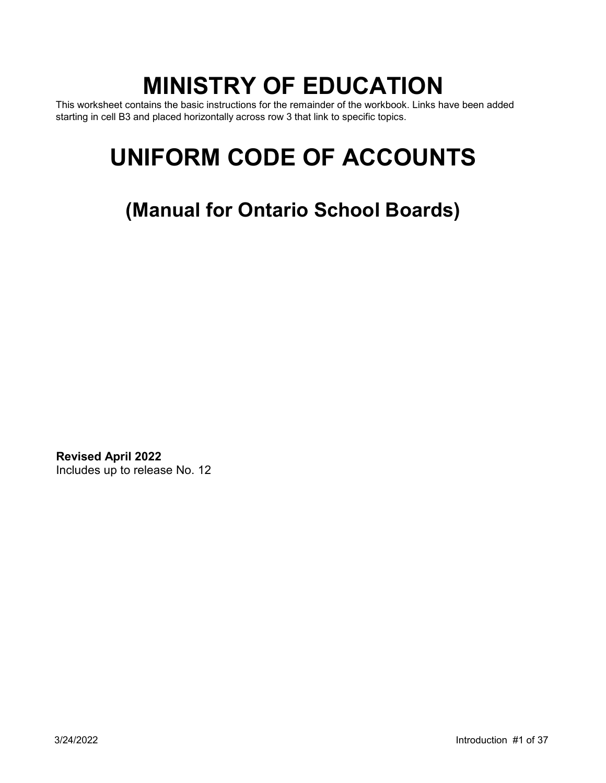# **MINISTRY OF EDUCATION**

This worksheet contains the basic instructions for the remainder of the workbook. Links have been added starting in cell B3 and placed horizontally across row 3 that link to specific topics.

# **UNIFORM CODE OF ACCOUNTS**

**(Manual for Ontario School Boards)** 

**Revised April 2022**  Includes up to release No. 12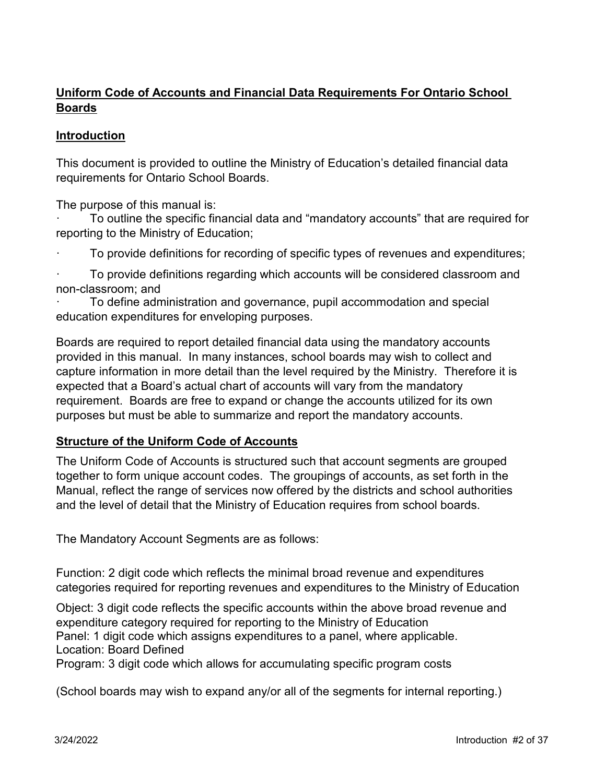# **Uniform Code of Accounts and Financial Data Requirements For Ontario School Boards**

# **Introduction**

This document is provided to outline the Ministry of Education's detailed financial data requirements for Ontario School Boards.

The purpose of this manual is:

· To outline the specific financial data and "mandatory accounts" that are required for reporting to the Ministry of Education;

· To provide definitions for recording of specific types of revenues and expenditures;

· To provide definitions regarding which accounts will be considered classroom and non-classroom; and

To define administration and governance, pupil accommodation and special education expenditures for enveloping purposes.

Boards are required to report detailed financial data using the mandatory accounts provided in this manual. In many instances, school boards may wish to collect and capture information in more detail than the level required by the Ministry. Therefore it is expected that a Board's actual chart of accounts will vary from the mandatory requirement. Boards are free to expand or change the accounts utilized for its own purposes but must be able to summarize and report the mandatory accounts.

# **Structure of the Uniform Code of Accounts**

The Uniform Code of Accounts is structured such that account segments are grouped together to form unique account codes. The groupings of accounts, as set forth in the Manual, reflect the range of services now offered by the districts and school authorities and the level of detail that the Ministry of Education requires from school boards.

The Mandatory Account Segments are as follows:

Function: 2 digit code which reflects the minimal broad revenue and expenditures categories required for reporting revenues and expenditures to the Ministry of Education

Object: 3 digit code reflects the specific accounts within the above broad revenue and expenditure category required for reporting to the Ministry of Education Panel: 1 digit code which assigns expenditures to a panel, where applicable. Location: Board Defined

Program: 3 digit code which allows for accumulating specific program costs

(School boards may wish to expand any/or all of the segments for internal reporting.)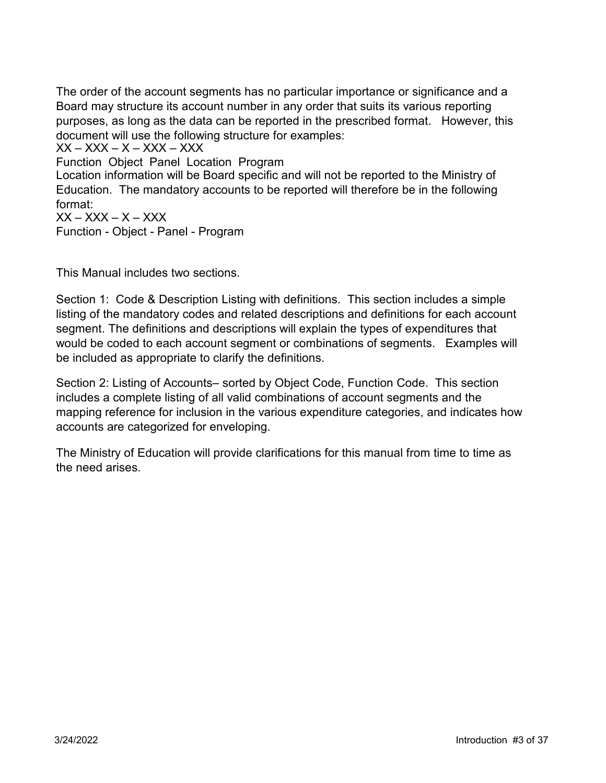The order of the account segments has no particular importance or significance and a Board may structure its account number in any order that suits its various reporting purposes, as long as the data can be reported in the prescribed format. However, this document will use the following structure for examples:

 $XX - XXX - X - XXX - XXX$ 

Function Object Panel Location Program

Location information will be Board specific and will not be reported to the Ministry of Education. The mandatory accounts to be reported will therefore be in the following format:

 $XX - XXX - X - XXX$ Function - Object - Panel - Program

This Manual includes two sections.

Section 1: Code & Description Listing with definitions. This section includes a simple listing of the mandatory codes and related descriptions and definitions for each account segment. The definitions and descriptions will explain the types of expenditures that would be coded to each account segment or combinations of segments. Examples will be included as appropriate to clarify the definitions.

Section 2: Listing of Accounts– sorted by Object Code, Function Code. This section includes a complete listing of all valid combinations of account segments and the mapping reference for inclusion in the various expenditure categories, and indicates how accounts are categorized for enveloping.

The Ministry of Education will provide clarifications for this manual from time to time as the need arises.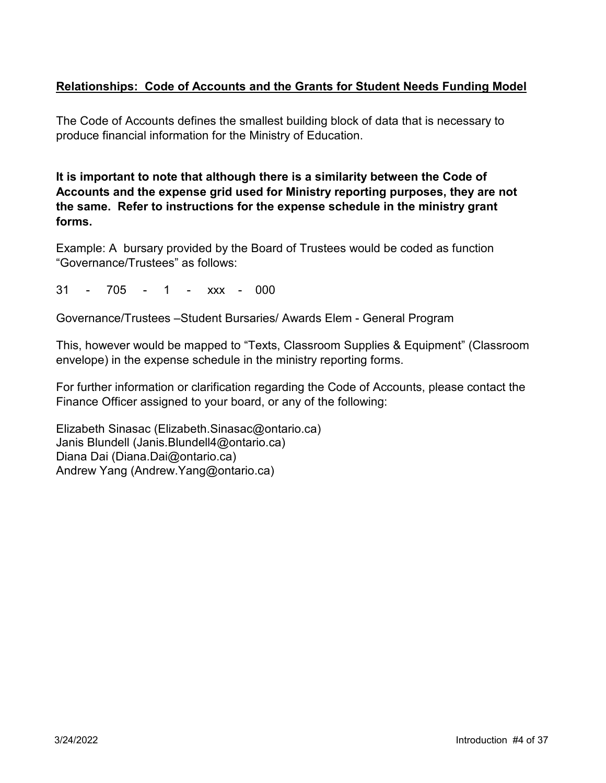# **Relationships: Code of Accounts and the Grants for Student Needs Funding Model**

The Code of Accounts defines the smallest building block of data that is necessary to produce financial information for the Ministry of Education.

**It is important to note that although there is a similarity between the Code of Accounts and the expense grid used for Ministry reporting purposes, they are not the same. Refer to instructions for the expense schedule in the ministry grant forms.** 

Example: A bursary provided by the Board of Trustees would be coded as function "Governance/Trustees" as follows:

31 - 705 - 1 - xxx - 000

Governance/Trustees –Student Bursaries/ Awards Elem - General Program

This, however would be mapped to "Texts, Classroom Supplies & Equipment" (Classroom envelope) in the expense schedule in the ministry reporting forms.

For further information or clarification regarding the Code of Accounts, please contact the Finance Officer assigned to your board, or any of the following:

Elizabeth Sinasac ([Elizabeth.Sinasac@ontario.ca\)](mailto:Elizabeth.Sinasac@ontario.ca) Janis Blundell ([Janis.Blundell4@ontario.ca\)](mailto:Janis.Blundell4@ontario.ca) Diana Dai ([Diana.Dai@ontario.ca\)](mailto:Diana.Dai@ontario.ca) Andrew Yang ([Andrew.Yang@ontario.ca\)](mailto:Andrew.yang@ontario.ca)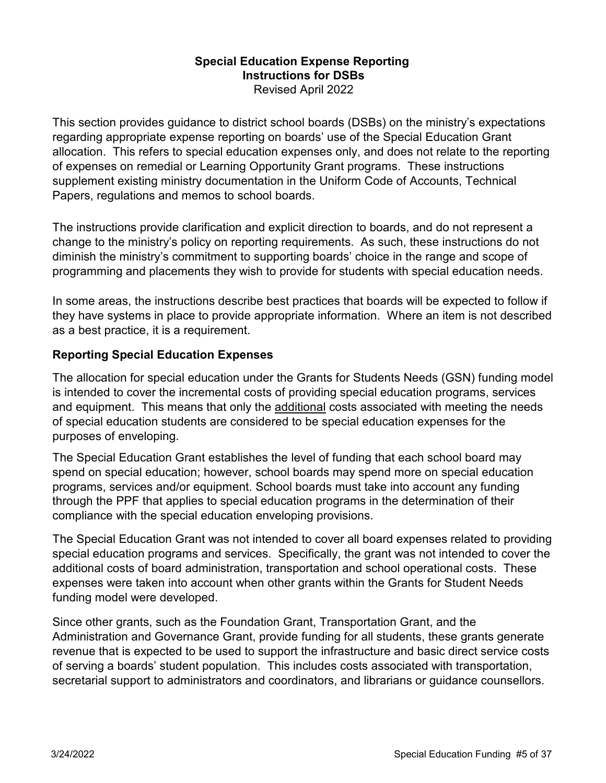# **Special Education Expense Reporting Instructions for DSBs**  Revised April 2022

This section provides guidance to district school boards (DSBs) on the ministry's expectations regarding appropriate expense reporting on boards' use of the Special Education Grant allocation. This refers to special education expenses only, and does not relate to the reporting of expenses on remedial or Learning Opportunity Grant programs. These instructions supplement existing ministry documentation in the Uniform Code of Accounts, Technical Papers, regulations and memos to school boards.

The instructions provide clarification and explicit direction to boards, and do not represent a change to the ministry's policy on reporting requirements. As such, these instructions do not diminish the ministry's commitment to supporting boards' choice in the range and scope of programming and placements they wish to provide for students with special education needs.

In some areas, the instructions describe best practices that boards will be expected to follow if they have systems in place to provide appropriate information. Where an item is not described as a best practice, it is a requirement.

# **Reporting Special Education Expenses**

The allocation for special education under the Grants for Students Needs (GSN) funding model is intended to cover the incremental costs of providing special education programs, services and equipment. This means that only the additional costs associated with meeting the needs of special education students are considered to be special education expenses for the purposes of enveloping.

The Special Education Grant establishes the level of funding that each school board may spend on special education; however, school boards may spend more on special education programs, services and/or equipment. School boards must take into account any funding through the PPF that applies to special education programs in the determination of their compliance with the special education enveloping provisions.

The Special Education Grant was not intended to cover all board expenses related to providing special education programs and services. Specifically, the grant was not intended to cover the additional costs of board administration, transportation and school operational costs. These expenses were taken into account when other grants within the Grants for Student Needs funding model were developed.

Since other grants, such as the Foundation Grant, Transportation Grant, and the Administration and Governance Grant, provide funding for all students, these grants generate revenue that is expected to be used to support the infrastructure and basic direct service costs of serving a boards' student population. This includes costs associated with transportation, secretarial support to administrators and coordinators, and librarians or guidance counsellors.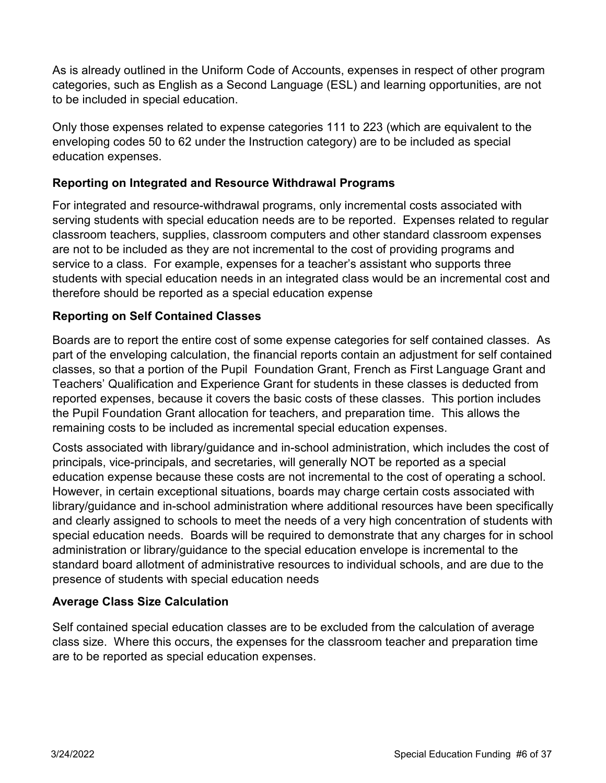As is already outlined in the Uniform Code of Accounts, expenses in respect of other program categories, such as English as a Second Language (ESL) and learning opportunities, are not to be included in special education.

Only those expenses related to expense categories 111 to 223 (which are equivalent to the enveloping codes 50 to 62 under the Instruction category) are to be included as special education expenses.

# **Reporting on Integrated and Resource Withdrawal Programs**

For integrated and resource-withdrawal programs, only incremental costs associated with serving students with special education needs are to be reported. Expenses related to regular classroom teachers, supplies, classroom computers and other standard classroom expenses are not to be included as they are not incremental to the cost of providing programs and service to a class. For example, expenses for a teacher's assistant who supports three students with special education needs in an integrated class would be an incremental cost and therefore should be reported as a special education expense

# **Reporting on Self Contained Classes**

Boards are to report the entire cost of some expense categories for self contained classes. As part of the enveloping calculation, the financial reports contain an adjustment for self contained classes, so that a portion of the Pupil Foundation Grant, French as First Language Grant and Teachers' Qualification and Experience Grant for students in these classes is deducted from reported expenses, because it covers the basic costs of these classes. This portion includes the Pupil Foundation Grant allocation for teachers, and preparation time. This allows the remaining costs to be included as incremental special education expenses.

Costs associated with library/guidance and in-school administration, which includes the cost of principals, vice-principals, and secretaries, will generally NOT be reported as a special education expense because these costs are not incremental to the cost of operating a school. However, in certain exceptional situations, boards may charge certain costs associated with library/guidance and in-school administration where additional resources have been specifically and clearly assigned to schools to meet the needs of a very high concentration of students with special education needs. Boards will be required to demonstrate that any charges for in school administration or library/guidance to the special education envelope is incremental to the standard board allotment of administrative resources to individual schools, and are due to the presence of students with special education needs

# **Average Class Size Calculation**

Self contained special education classes are to be excluded from the calculation of average class size. Where this occurs, the expenses for the classroom teacher and preparation time are to be reported as special education expenses.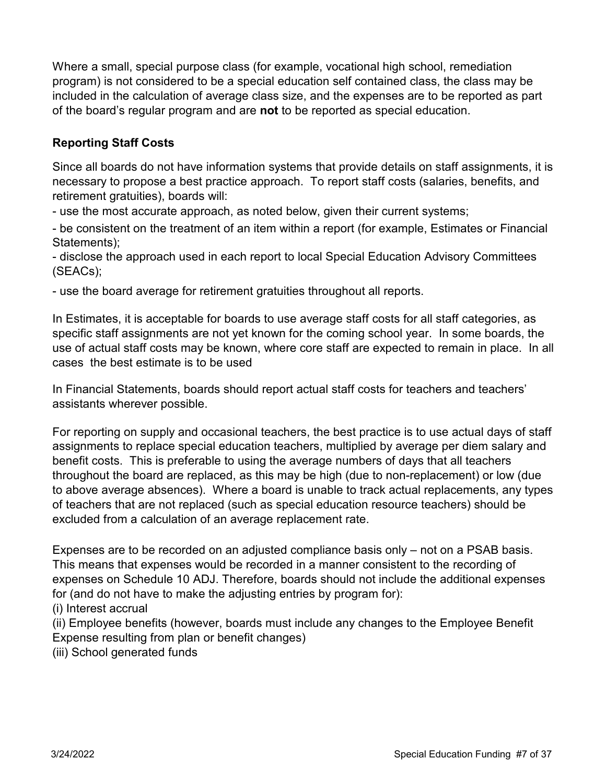Where a small, special purpose class (for example, vocational high school, remediation program) is not considered to be a special education self contained class, the class may be included in the calculation of average class size, and the expenses are to be reported as part of the board's regular program and are **not** to be reported as special education.

# **Reporting Staff Costs**

Since all boards do not have information systems that provide details on staff assignments, it is necessary to propose a best practice approach. To report staff costs (salaries, benefits, and retirement gratuities), boards will:

- use the most accurate approach, as noted below, given their current systems;

- be consistent on the treatment of an item within a report (for example, Estimates or Financial Statements);

- disclose the approach used in each report to local Special Education Advisory Committees (SEACs);

- use the board average for retirement gratuities throughout all reports.

In Estimates, it is acceptable for boards to use average staff costs for all staff categories, as specific staff assignments are not yet known for the coming school year. In some boards, the use of actual staff costs may be known, where core staff are expected to remain in place. In all cases the best estimate is to be used

In Financial Statements, boards should report actual staff costs for teachers and teachers' assistants wherever possible.

For reporting on supply and occasional teachers, the best practice is to use actual days of staff assignments to replace special education teachers, multiplied by average per diem salary and benefit costs. This is preferable to using the average numbers of days that all teachers throughout the board are replaced, as this may be high (due to non-replacement) or low (due to above average absences). Where a board is unable to track actual replacements, any types of teachers that are not replaced (such as special education resource teachers) should be excluded from a calculation of an average replacement rate.

Expenses are to be recorded on an adjusted compliance basis only – not on a PSAB basis. This means that expenses would be recorded in a manner consistent to the recording of expenses on Schedule 10 ADJ. Therefore, boards should not include the additional expenses for (and do not have to make the adjusting entries by program for):

(i) Interest accrual

(ii) Employee benefits (however, boards must include any changes to the Employee Benefit Expense resulting from plan or benefit changes)

(iii) School generated funds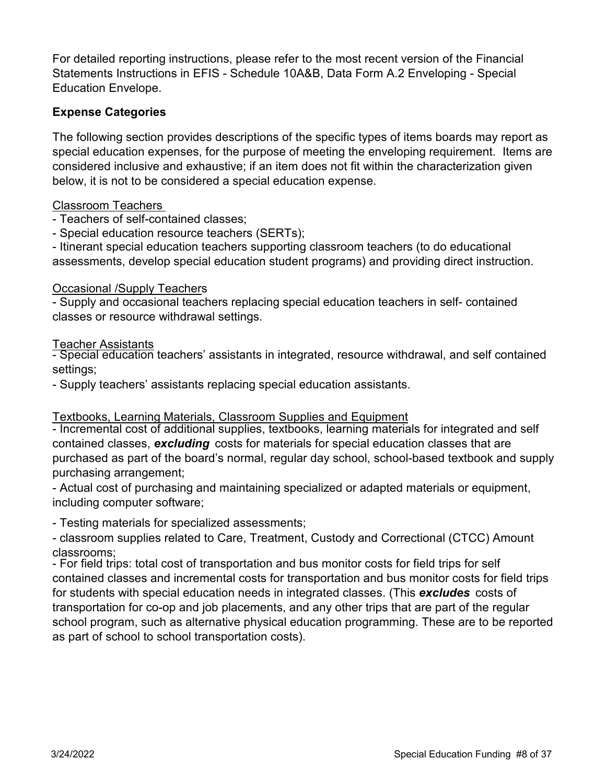For detailed reporting instructions, please refer to the most recent version of the Financial Statements Instructions in EFIS - Schedule 10A&B, Data Form A.2 Enveloping - Special Education Envelope.

# **Expense Categories**

The following section provides descriptions of the specific types of items boards may report as special education expenses, for the purpose of meeting the enveloping requirement. Items are considered inclusive and exhaustive; if an item does not fit within the characterization given below, it is not to be considered a special education expense.

# Classroom Teachers

- Teachers of self-contained classes;

- Special education resource teachers (SERTs);

- Itinerant special education teachers supporting classroom teachers (to do educational assessments, develop special education student programs) and providing direct instruction.

# Occasional /Supply Teachers

- Supply and occasional teachers replacing special education teachers in self- contained classes or resource withdrawal settings.

**Teacher Assistants** 

- Special education teachers' assistants in integrated, resource withdrawal, and self contained settings;

- Supply teachers' assistants replacing special education assistants.

# Textbooks, Learning Materials, Classroom Supplies and Equipment

- Incremental cost of additional supplies, textbooks, learning materials for integrated and self contained classes, *excluding* costs for materials for special education classes that are purchased as part of the board's normal, regular day school, school-based textbook and supply purchasing arrangement;

- Actual cost of purchasing and maintaining specialized or adapted materials or equipment, including computer software;

- Testing materials for specialized assessments;

- classroom supplies related to Care, Treatment, Custody and Correctional (CTCC) Amount classrooms;

- For field trips: total cost of transportation and bus monitor costs for field trips for self contained classes and incremental costs for transportation and bus monitor costs for field trips for students with special education needs in integrated classes. (This *excludes* costs of transportation for co-op and job placements, and any other trips that are part of the regular school program, such as alternative physical education programming. These are to be reported as part of school to school transportation costs).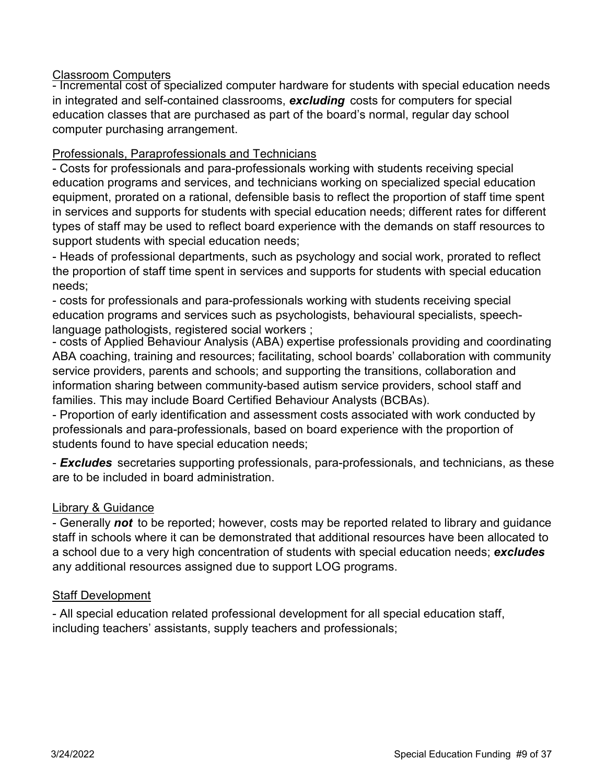# Classroom Computers

- Incremental cost of specialized computer hardware for students with special education needs in integrated and self-contained classrooms, *excluding* costs for computers for special education classes that are purchased as part of the board's normal, regular day school computer purchasing arrangement.

# Professionals, Paraprofessionals and Technicians

- Costs for professionals and para-professionals working with students receiving special education programs and services, and technicians working on specialized special education equipment, prorated on a rational, defensible basis to reflect the proportion of staff time spent in services and supports for students with special education needs; different rates for different types of staff may be used to reflect board experience with the demands on staff resources to support students with special education needs;

- Heads of professional departments, such as psychology and social work, prorated to reflect the proportion of staff time spent in services and supports for students with special education needs;

- costs for professionals and para-professionals working with students receiving special education programs and services such as psychologists, behavioural specialists, speechlanguage pathologists, registered social workers ;

- costs of Applied Behaviour Analysis (ABA) expertise professionals providing and coordinating ABA coaching, training and resources; facilitating, school boards' collaboration with community service providers, parents and schools; and supporting the transitions, collaboration and information sharing between community-based autism service providers, school staff and families. This may include Board Certified Behaviour Analysts (BCBAs).

- Proportion of early identification and assessment costs associated with work conducted by professionals and para-professionals, based on board experience with the proportion of students found to have special education needs;

- *Excludes* secretaries supporting professionals, para-professionals, and technicians, as these are to be included in board administration.

# Library & Guidance

- Generally *not* to be reported; however, costs may be reported related to library and guidance staff in schools where it can be demonstrated that additional resources have been allocated to a school due to a very high concentration of students with special education needs; *excludes*  any additional resources assigned due to support LOG programs.

# Staff Development

- All special education related professional development for all special education staff, including teachers' assistants, supply teachers and professionals;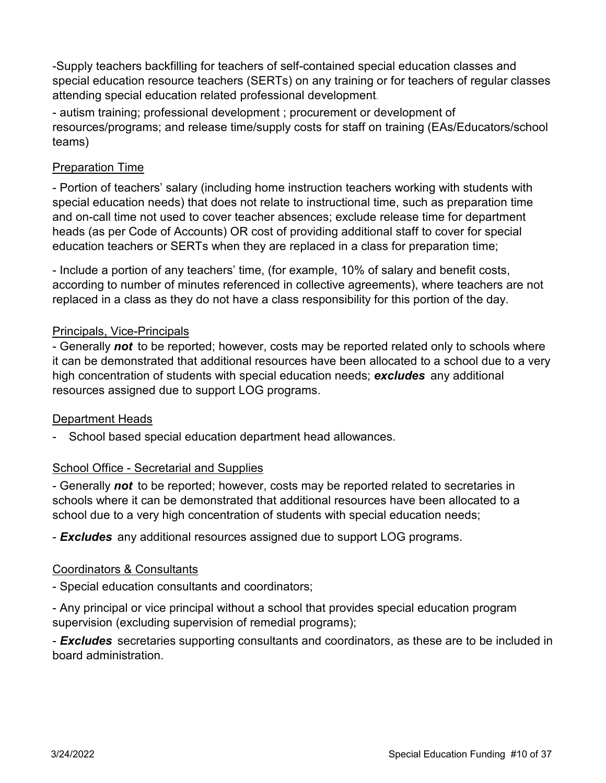-Supply teachers backfilling for teachers of self-contained special education classes and special education resource teachers (SERTs) on any training or for teachers of regular classes attending special education related professional development.

- autism training; professional development ; procurement or development of resources/programs; and release time/supply costs for staff on training (EAs/Educators/school teams)

# Preparation Time

- Portion of teachers' salary (including home instruction teachers working with students with special education needs) that does not relate to instructional time, such as preparation time and on-call time not used to cover teacher absences; exclude release time for department heads (as per Code of Accounts) OR cost of providing additional staff to cover for special education teachers or SERTs when they are replaced in a class for preparation time;

- Include a portion of any teachers' time, (for example, 10% of salary and benefit costs, according to number of minutes referenced in collective agreements), where teachers are not replaced in a class as they do not have a class responsibility for this portion of the day.

# Principals, Vice-Principals

- Generally *not* to be reported; however, costs may be reported related only to schools where it can be demonstrated that additional resources have been allocated to a school due to a very high concentration of students with special education needs; *excludes* any additional resources assigned due to support LOG programs.

# Department Heads

School based special education department head allowances. -

# School Office - Secretarial and Supplies

- Generally *not* to be reported; however, costs may be reported related to secretaries in schools where it can be demonstrated that additional resources have been allocated to a school due to a very high concentration of students with special education needs;

- *Excludes* any additional resources assigned due to support LOG programs.

# Coordinators & Consultants

- Special education consultants and coordinators;

- Any principal or vice principal without a school that provides special education program supervision (excluding supervision of remedial programs);

- *Excludes* secretaries supporting consultants and coordinators, as these are to be included in board administration.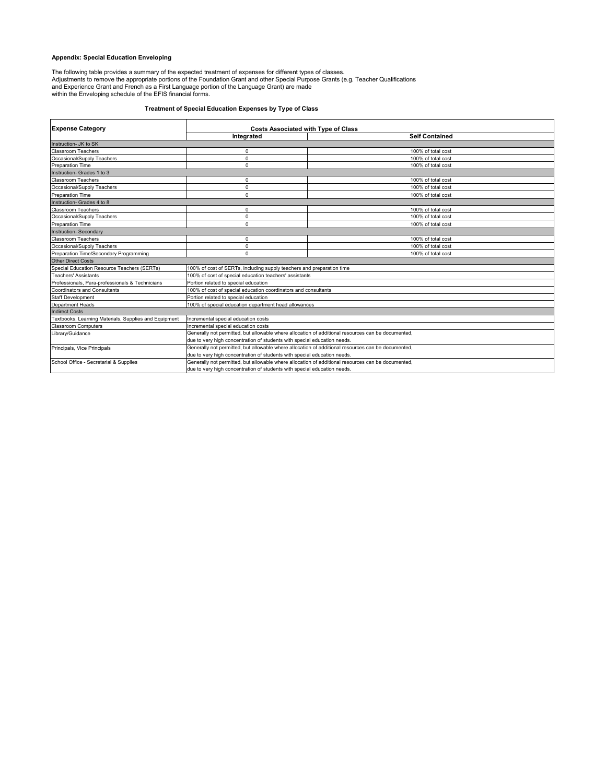# **Appendix: Special Education Enveloping**

The following table provides a summary of the expected treatment of expenses for different types of classes.<br>Adjustments to remove the appropriate portions of the Foundation Grant and other Special Purpose Grants (e.g. Tea

# **Treatment of Special Education Expenses by Type of Class**

| <b>Expense Category</b>                               | <b>Costs Associated with Type of Class</b>                                                         |                       |  |  |
|-------------------------------------------------------|----------------------------------------------------------------------------------------------------|-----------------------|--|--|
|                                                       | Integrated                                                                                         | <b>Self Contained</b> |  |  |
| Instruction- JK to SK                                 |                                                                                                    |                       |  |  |
| <b>Classroom Teachers</b>                             | $\Omega$                                                                                           | 100% of total cost    |  |  |
| Occasional/Supply Teachers                            | $\Omega$                                                                                           | 100% of total cost    |  |  |
| <b>Preparation Time</b>                               | 0                                                                                                  | 100% of total cost    |  |  |
| Instruction- Grades 1 to 3                            |                                                                                                    |                       |  |  |
| Classroom Teachers                                    | 0                                                                                                  | 100% of total cost    |  |  |
| Occasional/Supply Teachers                            | $\Omega$                                                                                           | 100% of total cost    |  |  |
| <b>Preparation Time</b>                               | $\Omega$                                                                                           | 100% of total cost    |  |  |
| Instruction- Grades 4 to 8                            |                                                                                                    |                       |  |  |
| <b>Classroom Teachers</b>                             | 0                                                                                                  | 100% of total cost    |  |  |
| Occasional/Supply Teachers                            | $\Omega$                                                                                           | 100% of total cost    |  |  |
| <b>Preparation Time</b>                               | $\Omega$                                                                                           | 100% of total cost    |  |  |
| <b>Instruction-Secondary</b>                          |                                                                                                    |                       |  |  |
| <b>Classroom Teachers</b>                             | 0                                                                                                  | 100% of total cost    |  |  |
| Occasional/Supply Teachers                            | $\Omega$                                                                                           | 100% of total cost    |  |  |
| Preparation Time/Secondary Programming                | $\Omega$                                                                                           | 100% of total cost    |  |  |
| <b>Other Direct Costs</b>                             |                                                                                                    |                       |  |  |
| Special Education Resource Teachers (SERTs)           | 100% of cost of SERTs, including supply teachers and preparation time                              |                       |  |  |
| <b>Teachers' Assistants</b>                           | 100% of cost of special education teachers' assistants                                             |                       |  |  |
| Professionals, Para-professionals & Technicians       | Portion related to special education                                                               |                       |  |  |
| <b>Coordinators and Consultants</b>                   | 100% of cost of special education coordinators and consultants                                     |                       |  |  |
| <b>Staff Development</b>                              | Portion related to special education                                                               |                       |  |  |
| <b>Department Heads</b>                               | 100% of special education department head allowances                                               |                       |  |  |
| <b>Indirect Costs</b>                                 |                                                                                                    |                       |  |  |
| Textbooks, Learning Materials, Supplies and Equipment | Incremental special education costs                                                                |                       |  |  |
| <b>Classroom Computers</b>                            | Incremental special education costs                                                                |                       |  |  |
| Library/Guidance                                      | Generally not permitted, but allowable where allocation of additional resources can be documented, |                       |  |  |
|                                                       | due to very high concentration of students with special education needs.                           |                       |  |  |
| Principals, Vice Principals                           | Generally not permitted, but allowable where allocation of additional resources can be documented, |                       |  |  |
|                                                       | due to very high concentration of students with special education needs.                           |                       |  |  |
| School Office - Secretarial & Supplies                | Generally not permitted, but allowable where allocation of additional resources can be documented, |                       |  |  |
|                                                       | due to very high concentration of students with special education needs.                           |                       |  |  |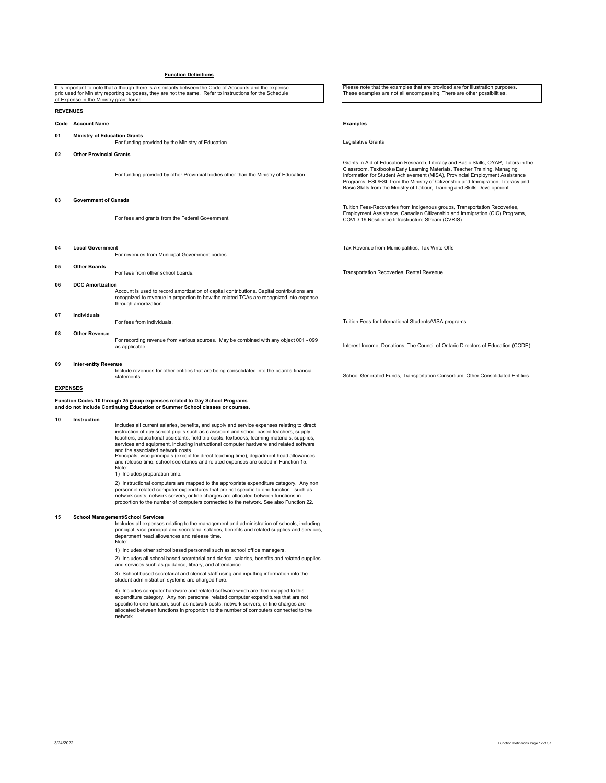# **Function Definitions**

|                                                                                                                                                                                                                                                                                                                                                                                                                                                                                                                                                                                                                                                                                                                                                                                                                                                                                                                                                                                                                                           | of Expense in the Ministry grant forms. | It is important to note that although there is a similarity between the Code of Accounts and the expense<br>grid used for Ministry reporting purposes, they are not the same. Refer to instructions for the Schedule | Please note that the examples that are provided are for illustration purposes.<br>These examples are not all encompassing. There are other possibilities.                                                                                                                                                                                                                                                         |  |
|-------------------------------------------------------------------------------------------------------------------------------------------------------------------------------------------------------------------------------------------------------------------------------------------------------------------------------------------------------------------------------------------------------------------------------------------------------------------------------------------------------------------------------------------------------------------------------------------------------------------------------------------------------------------------------------------------------------------------------------------------------------------------------------------------------------------------------------------------------------------------------------------------------------------------------------------------------------------------------------------------------------------------------------------|-----------------------------------------|----------------------------------------------------------------------------------------------------------------------------------------------------------------------------------------------------------------------|-------------------------------------------------------------------------------------------------------------------------------------------------------------------------------------------------------------------------------------------------------------------------------------------------------------------------------------------------------------------------------------------------------------------|--|
| <b>REVENUES</b>                                                                                                                                                                                                                                                                                                                                                                                                                                                                                                                                                                                                                                                                                                                                                                                                                                                                                                                                                                                                                           |                                         |                                                                                                                                                                                                                      |                                                                                                                                                                                                                                                                                                                                                                                                                   |  |
|                                                                                                                                                                                                                                                                                                                                                                                                                                                                                                                                                                                                                                                                                                                                                                                                                                                                                                                                                                                                                                           | Code Account Name                       |                                                                                                                                                                                                                      | <b>Examples</b>                                                                                                                                                                                                                                                                                                                                                                                                   |  |
| 01                                                                                                                                                                                                                                                                                                                                                                                                                                                                                                                                                                                                                                                                                                                                                                                                                                                                                                                                                                                                                                        | <b>Ministry of Education Grants</b>     | For funding provided by the Ministry of Education.                                                                                                                                                                   | Legislative Grants                                                                                                                                                                                                                                                                                                                                                                                                |  |
| 02                                                                                                                                                                                                                                                                                                                                                                                                                                                                                                                                                                                                                                                                                                                                                                                                                                                                                                                                                                                                                                        | <b>Other Provincial Grants</b>          |                                                                                                                                                                                                                      |                                                                                                                                                                                                                                                                                                                                                                                                                   |  |
|                                                                                                                                                                                                                                                                                                                                                                                                                                                                                                                                                                                                                                                                                                                                                                                                                                                                                                                                                                                                                                           |                                         | For funding provided by other Provincial bodies other than the Ministry of Education.                                                                                                                                | Grants in Aid of Education Research, Literacy and Basic Skills, OYAP, Tutors in the<br>Classroom, Textbooks/Early Learning Materials, Teacher Training, Managing<br>Information for Student Achievement (MISA), Provincial Employment Assistance<br>Programs, ESL/FSL from the Ministry of Citizenship and Immigration, Literacy and<br>Basic Skills from the Ministry of Labour, Training and Skills Development |  |
| 03                                                                                                                                                                                                                                                                                                                                                                                                                                                                                                                                                                                                                                                                                                                                                                                                                                                                                                                                                                                                                                        | <b>Government of Canada</b>             |                                                                                                                                                                                                                      |                                                                                                                                                                                                                                                                                                                                                                                                                   |  |
|                                                                                                                                                                                                                                                                                                                                                                                                                                                                                                                                                                                                                                                                                                                                                                                                                                                                                                                                                                                                                                           |                                         | For fees and grants from the Federal Government.                                                                                                                                                                     | Tuition Fees-Recoveries from indigenous groups, Transportation Recoveries,<br>Employment Assistance, Canadian Citizenship and Immigration (CIC) Programs,<br>COVID-19 Resilience Infrastructure Stream (CVRIS)                                                                                                                                                                                                    |  |
| 04                                                                                                                                                                                                                                                                                                                                                                                                                                                                                                                                                                                                                                                                                                                                                                                                                                                                                                                                                                                                                                        | <b>Local Government</b>                 | For revenues from Municipal Government bodies.                                                                                                                                                                       | Tax Revenue from Municipalities, Tax Write Offs                                                                                                                                                                                                                                                                                                                                                                   |  |
| 05                                                                                                                                                                                                                                                                                                                                                                                                                                                                                                                                                                                                                                                                                                                                                                                                                                                                                                                                                                                                                                        | <b>Other Boards</b>                     | For fees from other school boards.                                                                                                                                                                                   | Transportation Recoveries, Rental Revenue                                                                                                                                                                                                                                                                                                                                                                         |  |
| 06<br><b>DCC Amortization</b><br>Account is used to record amortization of capital contributions. Capital contributions are<br>recognized to revenue in proportion to how the related TCAs are recognized into expense<br>through amortization.                                                                                                                                                                                                                                                                                                                                                                                                                                                                                                                                                                                                                                                                                                                                                                                           |                                         |                                                                                                                                                                                                                      |                                                                                                                                                                                                                                                                                                                                                                                                                   |  |
| 07                                                                                                                                                                                                                                                                                                                                                                                                                                                                                                                                                                                                                                                                                                                                                                                                                                                                                                                                                                                                                                        | <b>Individuals</b>                      | For fees from individuals.                                                                                                                                                                                           | Tuition Fees for International Students/VISA programs                                                                                                                                                                                                                                                                                                                                                             |  |
| 08                                                                                                                                                                                                                                                                                                                                                                                                                                                                                                                                                                                                                                                                                                                                                                                                                                                                                                                                                                                                                                        | <b>Other Revenue</b>                    | For recording revenue from various sources. May be combined with any object 001 - 099<br>as applicable.                                                                                                              | Interest Income, Donations, The Council of Ontario Directors of Education (CODE)                                                                                                                                                                                                                                                                                                                                  |  |
| 09                                                                                                                                                                                                                                                                                                                                                                                                                                                                                                                                                                                                                                                                                                                                                                                                                                                                                                                                                                                                                                        | <b>Inter-entity Revenue</b>             | Include revenues for other entities that are being consolidated into the board's financial<br>statements.                                                                                                            | School Generated Funds, Transportation Consortium, Other Consolidated Entities                                                                                                                                                                                                                                                                                                                                    |  |
| <b>EXPENSES</b>                                                                                                                                                                                                                                                                                                                                                                                                                                                                                                                                                                                                                                                                                                                                                                                                                                                                                                                                                                                                                           |                                         |                                                                                                                                                                                                                      |                                                                                                                                                                                                                                                                                                                                                                                                                   |  |
| Function Codes 10 through 25 group expenses related to Day School Programs<br>and do not include Continuing Education or Summer School classes or courses.                                                                                                                                                                                                                                                                                                                                                                                                                                                                                                                                                                                                                                                                                                                                                                                                                                                                                |                                         |                                                                                                                                                                                                                      |                                                                                                                                                                                                                                                                                                                                                                                                                   |  |
| 10<br>Instruction<br>Includes all current salaries, benefits, and supply and service expenses relating to direct<br>instruction of day school pupils such as classroom and school based teachers, supply<br>teachers, educational assistants, field trip costs, textbooks, learning materials, supplies,<br>services and equipment, including instructional computer hardware and related software<br>and the associated network costs.<br>Principals, vice-principals (except for direct teaching time), department head allowances<br>and release time, school secretaries and related expenses are coded in Function 15.<br>Note:<br>1) Includes preparation time.<br>2) Instructional computers are mapped to the appropriate expenditure category. Any non<br>personnel related computer expenditures that are not specific to one function - such as<br>network costs, network servers, or line charges are allocated between functions in<br>proportion to the number of computers connected to the network. See also Function 22. |                                         |                                                                                                                                                                                                                      |                                                                                                                                                                                                                                                                                                                                                                                                                   |  |

15 School Management School Services<br>
Includes all expenses relating to the management and administration of schools, including<br>
principal, vice-principal and secretarial salaries, benefits and related supplies and service

1) Includes other school based personnel such as school office managers.

2) Includes all school based secretarial and clerical salaries, benefits and related supplies and services such as guidance, library, and attendance.

3) School based secretarial and clerical staff using and inputting information into the student administration systems are charged here.

4) Includes computer hardware and related software which are then mapped to this<br>expenditure category. Any non personnel related computer expenditures that are not<br>specific to one function, such as network costs, network s network.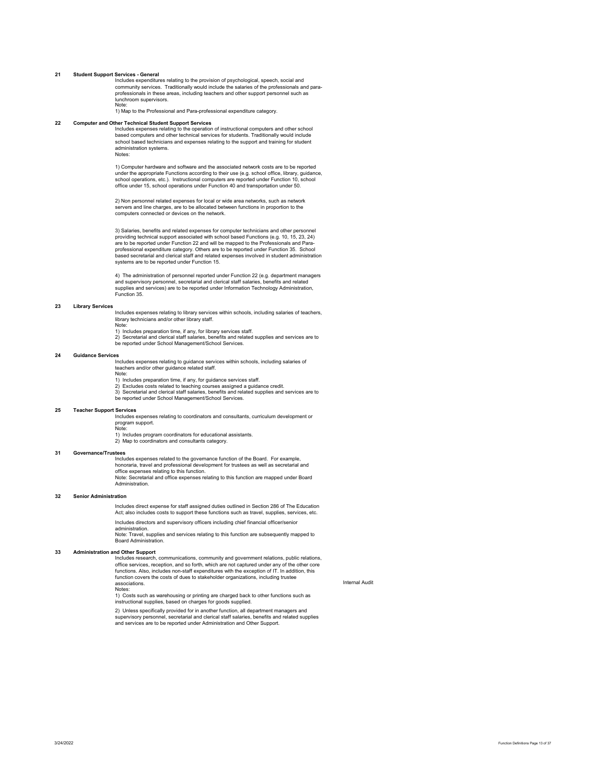### **21 Student Support Services - General**

Includes expenditures relating to the provision of psychological, speech, social and community services. Traditionally would include the salaries of the professionals and paraprofessionals in these areas, including teachers and other support personnel such as lunchroom supervisors. Note:

1) Map to the Professional and Para-professional expenditure category.

## **22 Computer and Other Technical Student Support Services**

Includes expenses relating to the operation of instructional computers and other school based computers and other technical services for students. Traditionally would include school based technicians and expenses relating to the support and training for student administration systems. Notes:

1) Computer hardware and software and the associated network costs are to be reported under the appropriate Functions according to their use (e.g. school office, library, guidance, school operations, etc.). Instructional computers are reported under Function 10, school office under 15, school operations under Function 40 and transportation under 50.

2) Non personnel related expenses for local or wide area networks, such as network servers and line charges, are to be allocated between functions in proportion to the computers connected or devices on the network.

3) Salaries, benefits and related expenses for computer technicians and other personnel providing technical support associated with school based Functions (e.g. 10, 15, 23, 24) are to be reported under Function 22 and will be mapped to the Professionals and Paraprofessional expenditure category. Others are to be reported under Function 35. School based secretarial and clerical staff and related expenses involved in student administration systems are to be reported under Function 15.

4) The administration of personnel reported under Function 22 (e.g. department managers and supervisory personnel, secretarial and clerical staff salaries, benefits and related supplies and services) are to be reported under Information Technology Administration, Function 35.

#### **23 Library Services**

Includes expenses relating to library services within schools, including salaries of teachers, library technicians and/or other library staff.<br>Note:

Note:<br>1) Includes preparation time, if any, for library services staff.<br>2) Secretarial and clerical staff salaries, benefits and related supplies and services are to be reported under School Management/School Services.

### **24 Guidance Services**

Includes expenses relating to guidance services within schools, including salaries of teachers and/or other guidance related staff. Note:

1) Includes preparation time, if any, for guidance services staff.<br>2) Excludes costs related to teaching courses assigned a guidance credit.<br>3) Secretarial and clerical staff salaries, benefits and related supplies and be reported under School Management/School Services.

**25 Teacher Support Services** 

Includes expenses relating to coordinators and consultants, curriculum development or program support. Note:

1) Includes program coordinators for educational assistants. 2) Map to coordinators and consultants category.

### **31 Governance/Trustees**

Includes expenses related to the governance function of the Board. For example honoraria, travel and professional development for trustees as well as secretarial and office expenses relating to this function. Note: Secretarial and office expenses relating to this function are mapped under Board

Administration.

# **32 Senior Administration**

Includes direct expense for staff assigned duties outlined in Section 286 of The Education Act; also includes costs to support these functions such as travel, supplies, services, etc.

Includes directors and supervisory officers including chief financial officer/senior administration.

Note: Travel, supplies and services relating to this function are subsequently mapped to Board Administration.

### **33 Administration and Other Support**

Includes research, communications, community and government relations, public relations, office services, reception, and so forth, which are not captured under any of the other core functions. Also, includes non-staff expenditures with the exception of IT. In addition, this function covers the costs of dues to stakeholder organizations, including trustee associations.

Notes:

1) Costs such as warehousing or printing are charged back to other functions such as instructional supplies, based on charges for goods supplied.

2) Unless specifically provided for in another function, all department managers and supervisory personnel, secretarial and clerical staff salaries, benefits and related supplies and services are to be reported under Administration and Other Support.

Internal Audit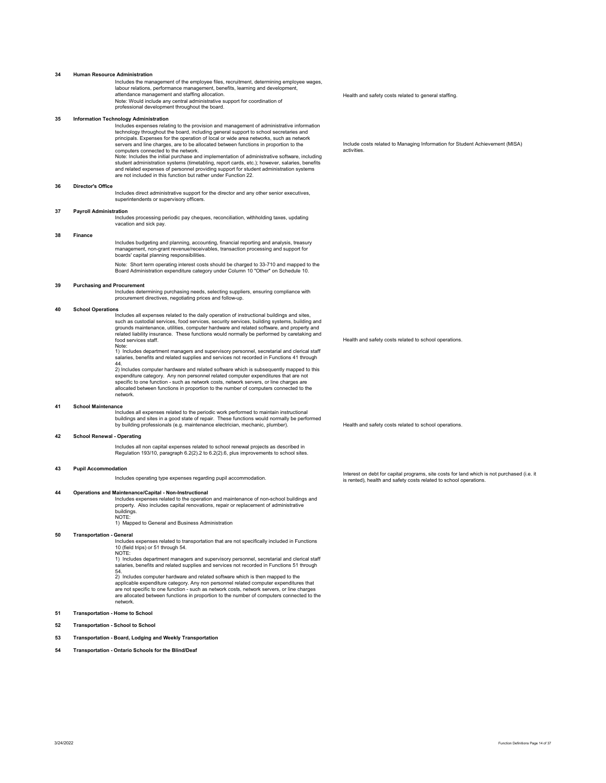### **34 Human Resource Administration**

Includes the management of the employee files, recruitment, determining employee wages, labour relations, performance management, benefits, learning and development, attendance management and staffing allocation. Note: Would include any central administrative support for coordination of professional development throughout the board.

#### **35 Information Technology Administration**

Includes expenses relating to the provision and management of administrative information technology throughout the board, including general support to school secretaries and<br>principals. Expenses for the operation of local or wide area networks, such as network<br>servers and line charges, are to be allocated betw computers connected to the network. Note: Includes the initial purchase and implementation of administrative software, including

student administration systems (timetabling, report cards, etc.); however, salaries, benefits and related expenses of personnel providing support for student administration systems are not included in this function but rather under Function 22.

#### **36 Director's Office**

Includes direct administrative support for the director and any other senior executives, superintendents or supervisory officers.

# **37 Payroll Administration**

Includes processing periodic pay cheques, reconciliation, withholding taxes, updating vacation and sick pay.

# **38 Finance**

Includes budgeting and planning, accounting, financial reporting and analysis, treasury management, non-grant revenue/receivables, transaction processing and support for boards' capital planning responsibilities.

Note: Short term operating interest costs should be charged to 33-710 and mapped to the Board Administration expenditure category under Column 10 "Other" on Schedule 10.

### **39 Purchasing and Procurement**

Includes determining purchasing needs, selecting suppliers, ensuring compliance with procurement directives, negotiating prices and follow-up.

#### **40 School Operations**

Includes all expenses related to the daily operation of instructional buildings and sites, such as custodial services, food services, security services, building systems, building and grounds maintenance, utilities, computer hardware and related software, and property and related liability insurance. These functions would normally be performed by caretaking and food services staff. Note:

1) Includes department managers and supervisory personnel, secretarial and clerical staff s and relationship in the managers and supervisory personnel, secretarial and stendar stated in Functions 41 through<br>salaries, benefits and related supplies and services not recorded in Functions 41 through

44. 2) Includes computer hardware and related software which is subsequently mapped to this expenditure category. Any non personnel related computer expenditures that are not specific to one function - such as network costs, network servers, or line charges are allocated between functions in proportion to the number of computers connected to the network.

#### **41 School Maintenance**

Includes all expenses related to the periodic work performed to maintain instructional buildings and sites in a good state of repair. These functions would normally be performed by building professionals (e.g. maintenance electrician, mechanic, plumber). Health and safety costs related to school operations.

# **42 School Renewal - Operating**

Includes all non capital expenses related to school renewal projects as described in Regulation 193/10, paragraph 6.2(2).2 to 6.2(2).6, plus improvements to school sites.

#### **43 Pupil Accommodation**

**44 Operations and Maintenance/Capital - Non-Instructional**  Includes expenses related to the operation and maintenance of non-school buildings and property. Also includes capital renovations, repair or replacement of administrative ոս<sub>Ի</sub><br>huildings. NOTE:

1) Mapped to General and Business Administration

# **50 Transportation - General**

Includes expenses related to transportation that are not specifically included in Functions 10 (field trips) or 51 through 54.

NOTE: 1) Includes department managers and supervisory personnel, secretarial and clerical staff salaries, benefits and related supplies and services not recorded in Functions 51 through  $\frac{54}{2}$ .<br>Includes computer hardware and related software which is then mapped to the

applicable expenditure category. Any non personnel related computer expenditures that are not specific to one function - such as network costs, network servers, or line charges are allocated between functions in proportion to the number of computers connected to the network.

# **51 Transportation - Home to School**

### **52 Transportation - School to School**

**53 Transportation - Board, Lodging and Weekly Transportation** 

**54 Transportation - Ontario Schools for the Blind/Deaf**

Health and safety costs related to general staffing.

Include costs related to Managing Information for Student Achievement (MISA) activities.

Health and safety costs related to school operations.

Includes operating type expenses regarding pupil accommodation. Interest on debt for capital programs, site costs for land which is not purchased (i.e. it is rented), health and safety costs related to school operations.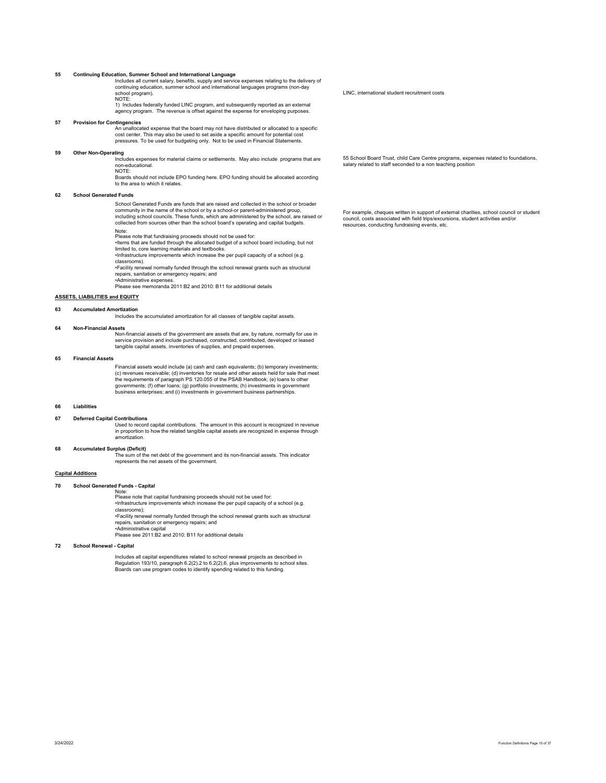**55 Continuing Education, Summer School and International Language**  Includes all current salary, benefits, supply and service expenses relating to the delivery of continuing education, summer school and international languages programs (non-day school program). NOTE:

1) Includes federally funded LINC program, and subsequently reported as an external agency program. The revenue is offset against the expense for enveloping purposes.

# **57 Provision for Contingencies**

An unallocated expense that the board may not have distributed or allocated to a specific cost center. This may also be used to set aside a specific amount for potential cost pressures. To be used for budgeting only. Not to be used in Financial Statements.

#### **59 Other Non-Operating**

Includes expenses for material claims or settlements. May also include programs that are non-educational. NOTE:

Boards should not include EPO funding here. EPO funding should be allocated according to the area to which it relates.

# **62 School Generated Funds**

School Generated Funds are funds that are raised and collected in the school or broader community in the name of the school or by a school-or parent-administered group, including school councils. These funds, which are administered by the school, are raised or collected from sources other than the school board's operating and capital budgets.

Note:

Please note that fundraising proceeds should not be used for:

•Items that are funded through the allocated budget of a school board including, but not limited to, core learning materials and textbooks.

•Infrastructure improvements which increase the per pupil capacity of a school (e.g. classrooms).

•Facility renewal normally funded through the school renewal grants such as structural repairs, sanitation or emergency repairs; and

•Administrative expenses. Please see memoranda 2011:B2 and 2010: B11 for additional details

**ASSETS, LIABILITIES and EQUITY** 

#### **63 Accumulated Amortization**

Includes the accumulated amortization for all classes of tangible capital assets.

#### **64 Non-Financial Assets**

Non-financial assets of the government are assets that are, by nature, normally for use in service provision and include purchased, constructed, contributed, developed or leased tangible capital assets, inventories of supplies, and prepaid expenses.

# **65 Financial Assets**

Financial assets would include (a) cash and cash equivalents; (b) temporary investments; (c) revenues receivable; (d) inventories for resale and other assets held for sale that meet the requirements of paragraph PS 120.055 of the PSAB Handbook; (e) loans to other governments; (f) other loans; (g) portfolio investments; (h) investments in government business enterprises; and (i) investments in government business partnerships.

# **66 Liabilities**

#### **67 Deferred Capital Contributions**

Used to record capital contributions. The amount in this account is recognized in revenue in proportion to how the related tangible capital assets are recognized in expense through amortization.

# **68 Accumulated Surplus (Deficit)**

The sum of the net debt of the government and its non-financial assets. This indicator represents the net assets of the government.

# **Capital Additions**

# **70 School Generated Funds - Capital**

Note: Please note that capital fundraising proceeds should not be used for: •Infrastructure improvements which increase the per pupil capacity of a school (e.g. classrooms);

•Facility renewal normally funded through the school renewal grants such as structural repairs, sanitation or emergency repairs; and

•Administrative capital

Please see 2011:B2 and 2010: B11 for additional details

# **72 School Renewal - Capital**

Includes all capital expenditures related to school renewal projects as described in Regulation 193/10, paragraph 6.2(2).2 to 6.2(2).6, plus improvements to school sites. Boards can use program codes to identify spending related to this funding. LINC, international student recruitment costs

55 School Board Trust, child Care Centre programs, expenses related to foundations, salary related to staff seconded to a non teaching position

For example, cheques written in support of external charities, school council or student council, costs associated with field trips/excursions, student activities and/or resources, conducting fundraising events, etc.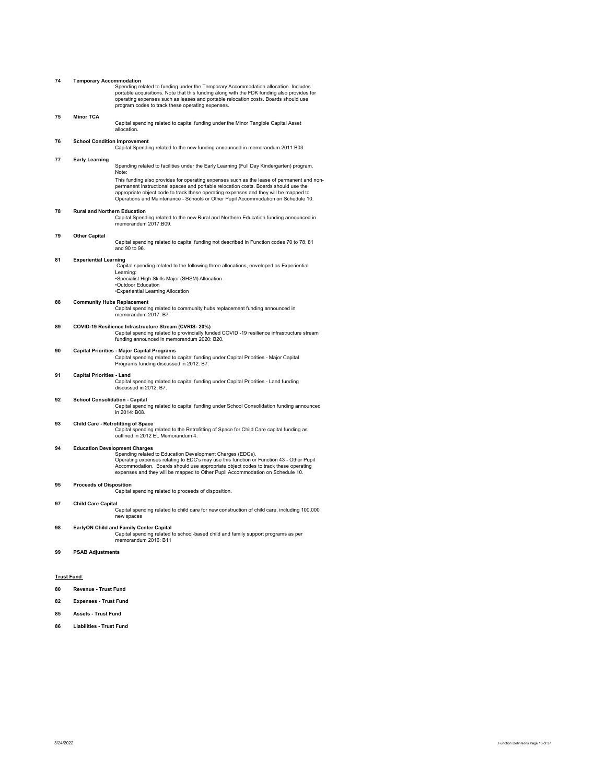| 74                | <b>Temporary Accommodation</b>        |                                                                                                                                                                                                                                                                                                                                                                     |
|-------------------|---------------------------------------|---------------------------------------------------------------------------------------------------------------------------------------------------------------------------------------------------------------------------------------------------------------------------------------------------------------------------------------------------------------------|
|                   |                                       | Spending related to funding under the Temporary Accommodation allocation. Includes<br>portable acquisitions. Note that this funding along with the FDK funding also provides for<br>operating expenses such as leases and portable relocation costs. Boards should use<br>program codes to track these operating expenses.                                          |
| 75                | <b>Minor TCA</b>                      |                                                                                                                                                                                                                                                                                                                                                                     |
|                   |                                       | Capital spending related to capital funding under the Minor Tangible Capital Asset<br>allocation.                                                                                                                                                                                                                                                                   |
| 76                | <b>School Condition Improvement</b>   | Capital Spending related to the new funding announced in memorandum 2011:B03.                                                                                                                                                                                                                                                                                       |
| 77                | <b>Early Learning</b>                 | Spending related to facilities under the Early Learning (Full Day Kindergarten) program.<br>Note:                                                                                                                                                                                                                                                                   |
|                   |                                       | This funding also provides for operating expenses such as the lease of permanent and non-<br>permanent instructional spaces and portable relocation costs. Boards should use the<br>appropriate object code to track these operating expenses and they will be mapped to<br>Operations and Maintenance - Schools or Other Pupil Accommodation on Schedule 10.       |
| 78                | <b>Rural and Northern Education</b>   |                                                                                                                                                                                                                                                                                                                                                                     |
|                   |                                       | Capital Spending related to the new Rural and Northern Education funding announced in<br>memorandum 2017:B09.                                                                                                                                                                                                                                                       |
| 79                | <b>Other Capital</b>                  | Capital spending related to capital funding not described in Function codes 70 to 78, 81<br>and 90 to 96.                                                                                                                                                                                                                                                           |
| 81                | <b>Experiential Learning</b>          | Capital spending related to the following three allocations, enveloped as Experiential                                                                                                                                                                                                                                                                              |
|                   |                                       | Learning:<br>•Specialist High Skills Major (SHSM) Allocation                                                                                                                                                                                                                                                                                                        |
|                   |                                       | •Outdoor Education                                                                                                                                                                                                                                                                                                                                                  |
|                   |                                       | *Experiential Learning Allocation                                                                                                                                                                                                                                                                                                                                   |
| 88                | <b>Community Hubs Replacement</b>     | Capital spending related to community hubs replacement funding announced in<br>memorandum 2017: B7                                                                                                                                                                                                                                                                  |
| 89                |                                       | COVID-19 Resilience Infrastructure Stream (CVRIS-20%)<br>Capital spending related to provincially funded COVID -19 resilience infrastructure stream<br>funding announced in memorandum 2020: B20.                                                                                                                                                                   |
| 90                |                                       | <b>Capital Priorities - Major Capital Programs</b><br>Capital spending related to capital funding under Capital Priorities - Major Capital<br>Programs funding discussed in 2012: B7.                                                                                                                                                                               |
| 91                | <b>Capital Priorities - Land</b>      | Capital spending related to capital funding under Capital Priorities - Land funding<br>discussed in 2012: B7.                                                                                                                                                                                                                                                       |
| 92                | <b>School Consolidation - Capital</b> | Capital spending related to capital funding under School Consolidation funding announced<br>in 2014: B08.                                                                                                                                                                                                                                                           |
| 93                |                                       | <b>Child Care - Retrofitting of Space</b><br>Capital spending related to the Retrofitting of Space for Child Care capital funding as<br>outlined in 2012 EL Memorandum 4.                                                                                                                                                                                           |
| 94                |                                       | <b>Education Development Charges</b><br>Spending related to Education Development Charges (EDCs).<br>Operating expenses relating to EDC's may use this function or Function 43 - Other Pupil<br>Accommodation. Boards should use appropriate object codes to track these operating<br>expenses and they will be mapped to Other Pupil Accommodation on Schedule 10. |
| 95                | <b>Proceeds of Disposition</b>        | Capital spending related to proceeds of disposition.                                                                                                                                                                                                                                                                                                                |
| 97                | <b>Child Care Capital</b>             | Capital spending related to child care for new construction of child care, including 100,000<br>new spaces                                                                                                                                                                                                                                                          |
| 98                |                                       | EarlyON Child and Family Center Capital<br>Capital spending related to school-based child and family support programs as per<br>memorandum 2016: B11                                                                                                                                                                                                                |
| 99                | <b>PSAB Adjustments</b>               |                                                                                                                                                                                                                                                                                                                                                                     |
|                   |                                       |                                                                                                                                                                                                                                                                                                                                                                     |
| <b>Trust Fund</b> |                                       |                                                                                                                                                                                                                                                                                                                                                                     |
| 80                | Revenue - Trust Fund                  |                                                                                                                                                                                                                                                                                                                                                                     |
| 82                |                                       |                                                                                                                                                                                                                                                                                                                                                                     |
|                   | <b>Expenses - Trust Fund</b>          |                                                                                                                                                                                                                                                                                                                                                                     |

# **85 Assets - Trust Fund**

**86 Liabilities - Trust Fund**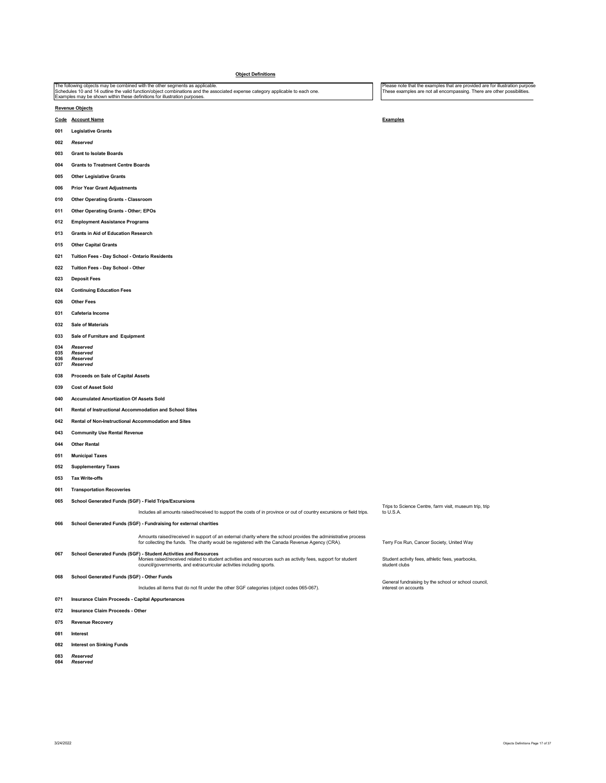|            | <b>Object Definitions</b>                                                                                                                                                                                                                                                                   |                                                                                                                                                         |
|------------|---------------------------------------------------------------------------------------------------------------------------------------------------------------------------------------------------------------------------------------------------------------------------------------------|---------------------------------------------------------------------------------------------------------------------------------------------------------|
|            | The following objects may be combined with the other segments as applicable.<br>Schedules 10 and 14 outline the valid function/object combinations and the associated expense category applicable to each one.<br>Examples may be shown within these definitions for illustration purposes. | Please note that the examples that are provided are for illustration purpose<br>These examples are not all encompassing. There are other possibilities. |
|            | <b>Revenue Objects</b>                                                                                                                                                                                                                                                                      |                                                                                                                                                         |
|            | Code Account Name                                                                                                                                                                                                                                                                           | <b>Examples</b>                                                                                                                                         |
| 001        | <b>Legislative Grants</b>                                                                                                                                                                                                                                                                   |                                                                                                                                                         |
| 002        | Reserved                                                                                                                                                                                                                                                                                    |                                                                                                                                                         |
| 003        | <b>Grant to Isolate Boards</b>                                                                                                                                                                                                                                                              |                                                                                                                                                         |
| 004        | <b>Grants to Treatment Centre Boards</b>                                                                                                                                                                                                                                                    |                                                                                                                                                         |
| 005        | <b>Other Legislative Grants</b>                                                                                                                                                                                                                                                             |                                                                                                                                                         |
| 006        | <b>Prior Year Grant Adjustments</b>                                                                                                                                                                                                                                                         |                                                                                                                                                         |
| 010        | <b>Other Operating Grants - Classroom</b>                                                                                                                                                                                                                                                   |                                                                                                                                                         |
| 011        | Other Operating Grants - Other; EPOs                                                                                                                                                                                                                                                        |                                                                                                                                                         |
| 012        | <b>Employment Assistance Programs</b>                                                                                                                                                                                                                                                       |                                                                                                                                                         |
| 013        | <b>Grants in Aid of Education Research</b>                                                                                                                                                                                                                                                  |                                                                                                                                                         |
| 015        | <b>Other Capital Grants</b>                                                                                                                                                                                                                                                                 |                                                                                                                                                         |
| 021        | Tuition Fees - Day School - Ontario Residents                                                                                                                                                                                                                                               |                                                                                                                                                         |
| 022        | Tuition Fees - Day School - Other                                                                                                                                                                                                                                                           |                                                                                                                                                         |
| 023        | <b>Deposit Fees</b>                                                                                                                                                                                                                                                                         |                                                                                                                                                         |
| 024        | <b>Continuing Education Fees</b>                                                                                                                                                                                                                                                            |                                                                                                                                                         |
| 026        | <b>Other Fees</b>                                                                                                                                                                                                                                                                           |                                                                                                                                                         |
| 031        | Cafeteria Income                                                                                                                                                                                                                                                                            |                                                                                                                                                         |
| 032        | <b>Sale of Materials</b>                                                                                                                                                                                                                                                                    |                                                                                                                                                         |
| 033        | Sale of Furniture and Equipment                                                                                                                                                                                                                                                             |                                                                                                                                                         |
| 034        | Reserved                                                                                                                                                                                                                                                                                    |                                                                                                                                                         |
| 035<br>036 | Reserved<br>Reserved                                                                                                                                                                                                                                                                        |                                                                                                                                                         |
| 037        | Reserved                                                                                                                                                                                                                                                                                    |                                                                                                                                                         |
| 038        | Proceeds on Sale of Capital Assets                                                                                                                                                                                                                                                          |                                                                                                                                                         |
| 039        | <b>Cost of Asset Sold</b>                                                                                                                                                                                                                                                                   |                                                                                                                                                         |
| 040        | <b>Accumulated Amortization Of Assets Sold</b>                                                                                                                                                                                                                                              |                                                                                                                                                         |
| 041        | Rental of Instructional Accommodation and School Sites                                                                                                                                                                                                                                      |                                                                                                                                                         |
| 042        | Rental of Non-Instructional Accommodation and Sites                                                                                                                                                                                                                                         |                                                                                                                                                         |
| 043        | <b>Community Use Rental Revenue</b>                                                                                                                                                                                                                                                         |                                                                                                                                                         |
| 044        | <b>Other Rental</b>                                                                                                                                                                                                                                                                         |                                                                                                                                                         |
| 051        | <b>Municipal Taxes</b>                                                                                                                                                                                                                                                                      |                                                                                                                                                         |
| 052        | <b>Supplementary Taxes</b>                                                                                                                                                                                                                                                                  |                                                                                                                                                         |
| 053        | <b>Tax Write-offs</b>                                                                                                                                                                                                                                                                       |                                                                                                                                                         |
| 061        | <b>Transportation Recoveries</b>                                                                                                                                                                                                                                                            |                                                                                                                                                         |
| 065        | School Generated Funds (SGF) - Field Trips/Excursions                                                                                                                                                                                                                                       | Trips to Science Centre, farm visit, museum trip, trip                                                                                                  |
|            | Includes all amounts raised/received to support the costs of in province or out of country excursions or field trips.                                                                                                                                                                       | to U.S.A.                                                                                                                                               |
| 066        | School Generated Funds (SGF) - Fundraising for external charities                                                                                                                                                                                                                           |                                                                                                                                                         |
|            | Amounts raised/received in support of an external charity where the school provides the administrative process<br>for collecting the funds. The charity would be registered with the Canada Revenue Agency (CRA).                                                                           | Terry Fox Run, Cancer Society, United Way                                                                                                               |
| 067        | School Generated Funds (SGF) - Student Activities and Resources<br>Monies raised/received related to student activities and resources such as activity fees, support for student<br>council/governments, and extracurricular activities including sports.                                   | Student activity fees, athletic fees, yearbooks,<br>student clubs                                                                                       |
| 068        | School Generated Funds (SGF) - Other Funds                                                                                                                                                                                                                                                  |                                                                                                                                                         |
|            | Includes all items that do not fit under the other SGF categories (object codes 065-067).                                                                                                                                                                                                   | General fundraising by the school or school council,<br>interest on accounts                                                                            |
| 071        | Insurance Claim Proceeds - Capital Appurtenances                                                                                                                                                                                                                                            |                                                                                                                                                         |
| 072        | Insurance Claim Proceeds - Other                                                                                                                                                                                                                                                            |                                                                                                                                                         |
| 075        | <b>Revenue Recovery</b>                                                                                                                                                                                                                                                                     |                                                                                                                                                         |
| 081        | Interest                                                                                                                                                                                                                                                                                    |                                                                                                                                                         |
| 082        | <b>Interest on Sinking Funds</b>                                                                                                                                                                                                                                                            |                                                                                                                                                         |
|            |                                                                                                                                                                                                                                                                                             |                                                                                                                                                         |

*Reserved*  **084** *Reserved*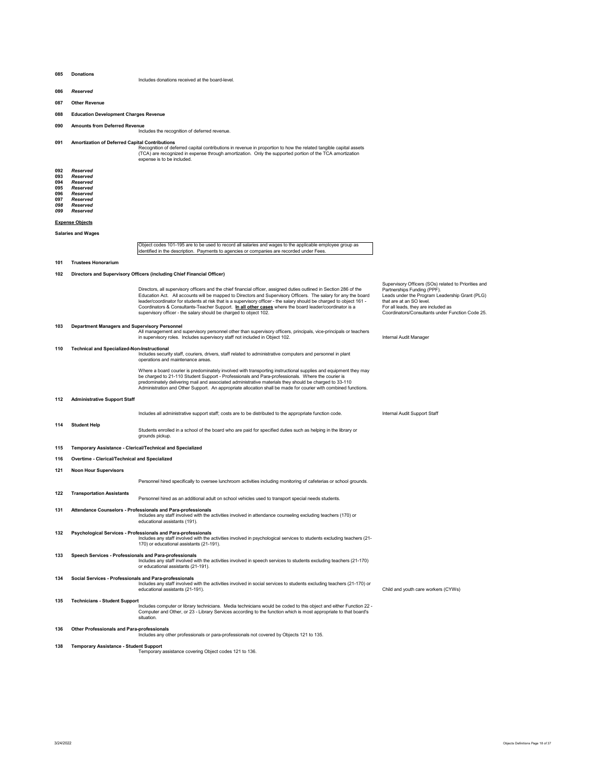#### **085 Donations**  Includes donations received at the board-level.

- **086** *Reserved*
- **087 Other Revenue**
- **088 Education Development Charges Revenue**
- 

**090 Amounts from Deferred Revenue**  Includes the recognition of deferred revenue.

# **091 Amortization of Deferred Capital Contributions**

Recognition of deferred capital contributions in revenue in proportion to how the related tangible capital assets<br>(TCA) are recognized in expense through amortization. Only the supported portion of the TCA amortization<br>ex

| 092        | Reserved        |
|------------|-----------------|
| 093        | Reserved        |
| 094        | Reserved        |
| <b>NOE</b> | <b>Docoriod</b> |

**095** *Reserved*  **096** *Reserved*  **097** *Reserved* 

*098 Reserved* 

*099 Reserved* 

# **Expense Objects**

**Salaries and Wages** 

Object codes 101-195 are to be used to record all salaries and wages to the applicable employee group as identified in the description. Payments to agencies or companies are recorded under Fees.

**101 Trustees Honorarium** 

# **102 Directors and Supervisory Officers (including Chief Financial Officer)**

Directors, all supervisory officers and the chief financial officer, assigned duties outlined in Section 286 of the<br>Education Act. All accounts will be mapped to Directors and Supervisory Officers. The salary for any th Coordinators & Consultants-Teacher Support. **In all other cases** where the board leader/coordinator is a supervisory officer - the salary should be charged to object 102.

Supervisory Officers (SOs) related to Priorities and Partnerships Funding (PPF). Leads under the Program Leadership Grant (PLG)

For all leads, they are included as Coordinators/Consultants under Function Code 25.

Child and youth care workers (CYWs).

that are at an SO level.

103 Department Managers and Supervisory Personnel<br>All management and supervisory personnel other than supervisory officers, principals, vice-principals or teachers<br>Internal Audit Manager in supervisory roles. Includes supe

#### **110 Technical and Specialized-Non-Instructional**

Includes security staff, couriers, drivers, staff related to administrative computers and personnel in plant operations and maintenance areas.

Where a board courier is predominately involved with transporting instructional supplies and equipment they may<br>be charged to 21-110 Student Support - Professionals and Para-professionals. Where the courier is predominately delivering mail and associated administrative materials they should be charged to 33-110 Administration and Other Support. An appropriate allocation shall be made for courier with combined functions.

# **112 Administrative Support Staff**

Includes all administrative support staff; costs are to be distributed to the appropriate function code. Internal Audit Support Staff

Students enrolled in a school of the board who are paid for specified duties such as helping in the library or

**114 Student Help** 

grounds pickup. **115 Temporary Assistance - Clerical/Technical and Specialized** 

- 
- **116 Overtime Clerical/Technical and Specialized**
- **121 Noon Hour Supervisors**

Personnel hired specifically to oversee lunchroom activities including monitoring of cafeterias or school grounds.

**122 Transportation Assistants** 

Personnel hired as an additional adult on school vehicles used to transport special needs students.

- **131 Attendance Counselors Professionals and Para-professionals**<br>Includes any staff involved with the activities involved in attendance counseling excluding teachers (170) or<br>educational assistants (191).
- -132 Psychological Services Professionals and Para-professionals<br>- Includes any staff involved vith the activities involved in psychological services to students excluding teachers (21<br>- 170) or educational assistants (2
- Speech Services Professionals and Para-professionals<br>Includes any staff involved with the activities involved in speech services to students excluding teachers (21-170)<br>or educational assistants (21-191).
- **134 Social Services Professionals and Para-professionals**
- Includes any staff involved with the activities involved in social services to students excluding teachers (21-170) or<br>educational assistants (21-191).

**135 Technicians - Student Support** 

- Includes computer or library technicians. Media technicians would be coded to this object and either Function 22 -<br>Computer and Other, or 23 Library Services according to the function which is most appropriate to that b situation.
- 
- **136 Other Professionals and Para-professionals**  Includes any other professionals or para-professionals not covered by Objects 121 to 135.
- 
- **138 Temporary Assistance Student Support**  Temporary assistance covering Object codes 121 to 136.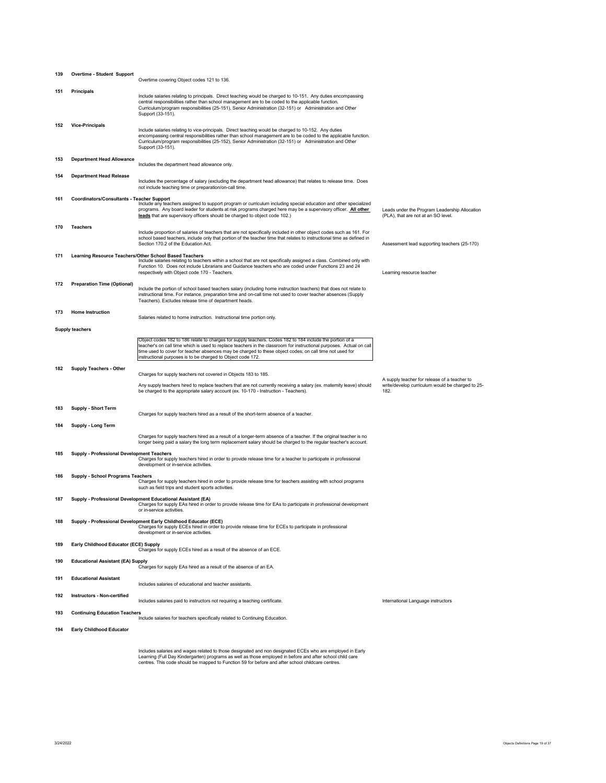| 139 | <b>Overtime - Student Support</b>          | Overtime covering Object codes 121 to 136.                                                                                                                                                                                                                                                                                                                                                                 |                                                                                      |
|-----|--------------------------------------------|------------------------------------------------------------------------------------------------------------------------------------------------------------------------------------------------------------------------------------------------------------------------------------------------------------------------------------------------------------------------------------------------------------|--------------------------------------------------------------------------------------|
| 151 | <b>Principals</b>                          | Include salaries relating to principals. Direct teaching would be charged to 10-151. Any duties encompassing<br>central responsibilities rather than school management are to be coded to the applicable function.<br>Curriculum/program responsibilities (25-151), Senior Administration (32-151) or Administration and Other<br>Support (33-151).                                                        |                                                                                      |
| 152 | <b>Vice-Principals</b>                     | Include salaries relating to vice-principals. Direct teaching would be charged to 10-152. Any duties<br>encompassing central responsibilities rather than school management are to be coded to the applicable function.<br>Curriculum/program responsibilities (25-152), Senior Administration (32-151) or Administration and Other<br>Support (33-151).                                                   |                                                                                      |
| 153 | <b>Department Head Allowance</b>           | Includes the department head allowance only.                                                                                                                                                                                                                                                                                                                                                               |                                                                                      |
| 154 | <b>Department Head Release</b>             | Includes the percentage of salary (excluding the department head allowance) that relates to release time. Does<br>not include teaching time or preparation/on-call time.                                                                                                                                                                                                                                   |                                                                                      |
| 161 | Coordinators/Consultants - Teacher Support | Include any teachers assigned to support program or curriculum including special education and other specialized<br>programs. Any board leader for students at risk programs charged here may be a supervisory officer. All other<br>leads that are supervisory officers should be charged to object code 102.)                                                                                            | Leads under the Program Leadership Allocation<br>(PLA), that are not at an SO level. |
| 170 | <b>Teachers</b>                            | Include proportion of salaries of teachers that are not specifically included in other object codes such as 161. For<br>school based teachers, include only that portion of the teacher time that relates to instructional time as defined in<br>Section 170.2 of the Education Act.                                                                                                                       | Assessment lead supporting teachers (25-170)                                         |
| 171 |                                            | Learning Resource Teachers/Other School Based Teachers<br>Include salaries relating to teachers within a school that are not specifically assigned a class. Combined only with<br>Function 10. Does not include Librarians and Guidance teachers who are coded under Functions 23 and 24<br>respectively with Object code 170 - Teachers.                                                                  | Learning resource teacher                                                            |
| 172 | <b>Preparation Time (Optional)</b>         | Include the portion of school based teachers salary (including home instruction teachers) that does not relate to<br>instructional time. For instance, preparation time and on-call time not used to cover teacher absences (Supply<br>Teachers). Excludes release time of department heads.                                                                                                               |                                                                                      |
| 173 | <b>Home Instruction</b>                    | Salaries related to home instruction. Instructional time portion only.                                                                                                                                                                                                                                                                                                                                     |                                                                                      |
|     | <b>Supply teachers</b>                     |                                                                                                                                                                                                                                                                                                                                                                                                            |                                                                                      |
|     |                                            | Object codes 182 to 186 relate to charges for supply teachers. Codes 182 to 184 include the portion of a<br>teacher's on call time which is used to replace teachers in the classroom for instructional purposes. Actual on call<br>time used to cover for teacher absences may be charged to these object codes; on call time not used for<br>instructional purposes is to be charged to Object code 172. |                                                                                      |
| 182 | <b>Supply Teachers - Other</b>             | Charges for supply teachers not covered in Objects 183 to 185.                                                                                                                                                                                                                                                                                                                                             | A supply teacher for release of a teacher to                                         |
|     |                                            | Any supply teachers hired to replace teachers that are not currently receiving a salary (ex. maternity leave) should<br>be charged to the appropriate salary account (ex. 10-170 - Instruction - Teachers).                                                                                                                                                                                                | write/develop curriculum would be charged to 25-<br>182.                             |
| 183 | <b>Supply - Short Term</b>                 | Charges for supply teachers hired as a result of the short-term absence of a teacher.                                                                                                                                                                                                                                                                                                                      |                                                                                      |
| 184 | Supply - Long Term                         |                                                                                                                                                                                                                                                                                                                                                                                                            |                                                                                      |
|     |                                            | Charges for supply teachers hired as a result of a longer-term absence of a teacher. If the original teacher is no<br>longer being paid a salary the long term replacement salary should be charged to the regular teacher's account.                                                                                                                                                                      |                                                                                      |
| 185 | Supply - Professional Development Teachers | Charges for supply teachers hired in order to provide release time for a teacher to participate in professional<br>development or in-service activities.                                                                                                                                                                                                                                                   |                                                                                      |
| 186 | Supply - School Programs Teachers          | Charges for supply teachers hired in order to provide release time for teachers assisting with school programs<br>such as field trips and student sports activities.                                                                                                                                                                                                                                       |                                                                                      |
| 187 |                                            | Supply - Professional Development Educational Assistant (EA)<br>Charges for supply EAs hired in order to provide release time for EAs to participate in professional development<br>or in-service activities.                                                                                                                                                                                              |                                                                                      |
| 188 |                                            | Supply - Professional Development Early Childhood Educator (ECE)<br>Charges for supply ECEs hired in order to provide release time for ECEs to participate in professional<br>development or in-service activities.                                                                                                                                                                                        |                                                                                      |
| 189 | Early Childhood Educator (ECE) Supply      | Charges for supply ECEs hired as a result of the absence of an ECE.                                                                                                                                                                                                                                                                                                                                        |                                                                                      |
| 190 | <b>Educational Assistant (EA) Supply</b>   | Charges for supply EAs hired as a result of the absence of an EA.                                                                                                                                                                                                                                                                                                                                          |                                                                                      |
| 191 | <b>Educational Assistant</b>               | Includes salaries of educational and teacher assistants.                                                                                                                                                                                                                                                                                                                                                   |                                                                                      |
| 192 | Instructors - Non-certified                | Includes salaries paid to instructors not requiring a teaching certificate.                                                                                                                                                                                                                                                                                                                                | International Language instructors                                                   |
| 193 | <b>Continuing Education Teachers</b>       | Include salaries for teachers specifically related to Continuing Education.                                                                                                                                                                                                                                                                                                                                |                                                                                      |
| 194 | <b>Early Childhood Educator</b>            |                                                                                                                                                                                                                                                                                                                                                                                                            |                                                                                      |

Includes salaries and wages related to those designated and non designated ECEs who are employed in Early<br>Learning (Full Day Kindergarten) programs as well as those employed in before and after school child care<br>centres. T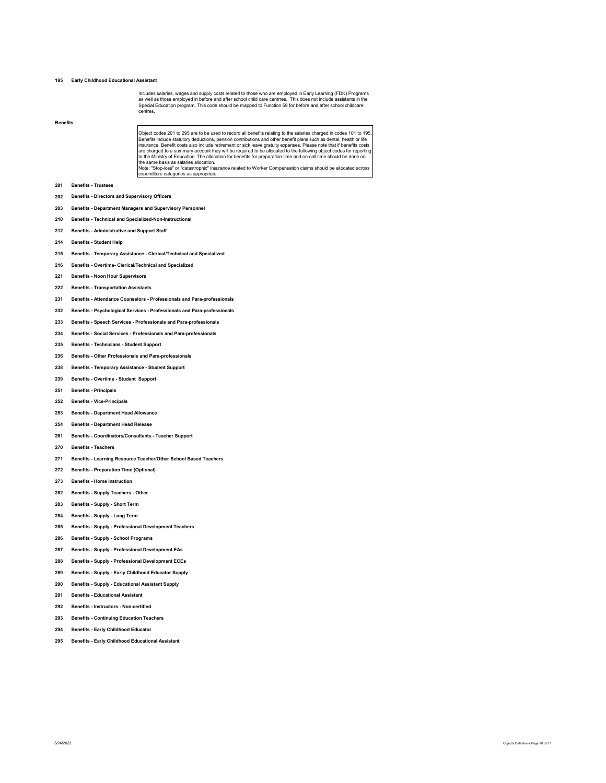# **Early Childhood Educational Assistant**

Includes salaries, wages and supply costs related to those who are employed in Early Learning (FDK) Programs<br>as well as those employed in before and after school child care centrres. This does not include assistants in the centres.

# **Benefits**

Object codes 201 to 295 are to be used to record all benefits relating to the salaries charged in codes 101 to 195.<br>Benefits include statutory deductions, pension contributions and other benefit plans such as dental, healt ure same pasis as salanes allocation.<br>Note: "Stop-loss" or "catastrophic" insurance related to Worker Compensation claims should be allocated acros:

- **Benefits Trustees**
- **Benefits Directors and Supervisory Officers**
- **Benefits Department Managers and Supervisory Personnel**
- **Benefits Technical and Specialized-Non-Instructional**
- **Benefits Administrative and Support Staff**
- **Benefits Student Help**
- **Benefits Temporary Assistance Clerical/Technical and Specialized**

expenditure categories as appropriate.

- **Benefits Overtime- Clerical/Technical and Specialized**
- **Benefits Noon Hour Supervisors**
- **Benefits Transportation Assistants**
- **Benefits Attendance Counselors Professionals and Para-professionals**
- **Benefits Psychological Services Professionals and Para-professionals**
- **Benefits Speech Services Professionals and Para-professionals**
- **Benefits Social Services Professionals and Para-professionals**
- **Benefits Technicians Student Support**
- **Benefits Other Professionals and Para-professionals**
- **Benefits Temporary Assistance Student Support**
- **Benefits Overtime Student Support**
- **Benefits Principals**
- **Benefits Vice-Principals**
- **Benefits Department Head Allowance**
- **Benefits Department Head Release**
- **Benefits Coordinators/Consultants Teacher Support**
- **Benefits Teachers**
- **Benefits Learning Resource Teacher/Other School Based Teachers**
- **Benefits Preparation Time (Optional)**
- **Benefits Home Instruction**
- **Benefits Supply Teachers Other**
- **Benefits Supply Short Term**
- **Benefits Supply Long Term**
- **Benefits Supply Professional Development Teachers**
- **Benefits Supply School Programs**
- **Benefits Supply Professional Development EAs**
- **Benefits Supply Professional Development ECEs**
- **Benefits Supply Early Childhood Educator Supply**
- **Benefits Supply Educational Assistant Supply**
- **Benefits Educational Assistant**
- **Benefits Instructors Non-certified**
- **Benefits Continuing Education Teachers**
- **Benefits Early Childhood Educator**
- **Benefits Early Childhood Educational Assistant**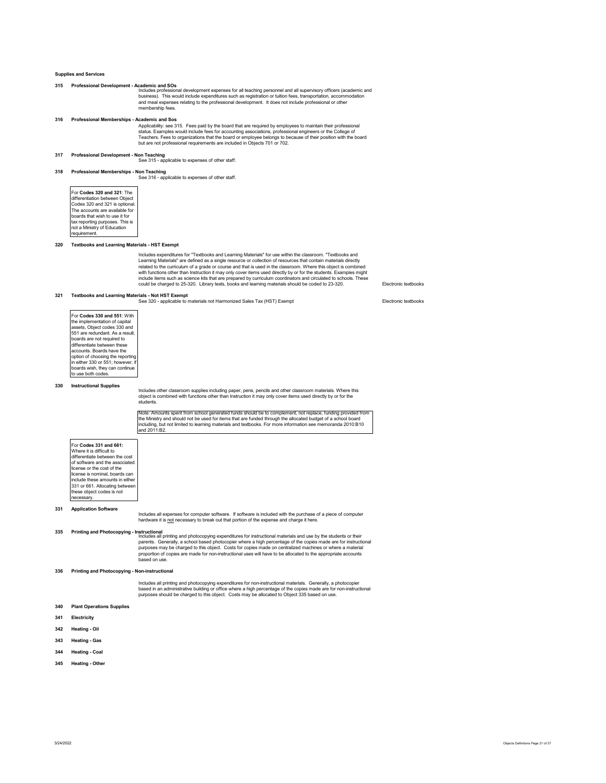# **Supplies and Services**

- **315 Professional Development Academic and SOs**  Includes professional development expenses for all teaching personnel and all supervisory officers (academic and business). This would include expenditures such as registration or tuition fees, transportation, accommodation and meal expenses relating to the professional development. It does not include professional or other membership fees.
- **316 Professional Memberships Academic and Sos** 
	- Applicability: see 315. Fees paid by the board that are required by employees to maintain their professional status. Examples would include fees for accounting associations, professional engineers or the College of<br>Teachers. Fees to organizations that the board or employee belongs to because of their position with the board<br>but a

**317 Professional Development - Non Teaching**  See 315 - applicable to expenses of other staff.

**318 Professional Memberships - Non Teaching**  See 316 - applicable to expenses of other staff.

For **Codes 320 and 321**: The differentiation between Object Codes 320 and 321 is optional. The accounts are available for boards that wish to use it for tax reporting purposes. This is not a Ministry of Education requirement.

# **320 Textbooks and Learning Materials - HST Exempt**

Includes expenditures for "Textbooks and Learning Materials" for use within the classroom. "Textbooks and<br>Learning Materials" are defined as a single resource or collection of resources that contain materials directl<br>relat

Electronic textbooks

# **321 Textbooks and Learning Materials - Not HST Exempt**  See 320 - applicable to materials not Harmonized Sales Tax (HST) Exempt

For **Codes 330 and 551**: With the implementation of capital assets, Object codes 330 and 551 are redundant. As a result, boards are not required to differentiate between these accounts. Boards have the option of choosing the reporting in either 330 or 551; however, if barier cee or contribution, to use both codes.

### **330 Instructional Supplies**

Includes other classroom supplies including paper, pens, pencils and other classroom materials. Where this<br>object is combined with functions other than Instruction it may only cover items used directly by or for the<br>studen

Note: Amounts spent from school generated funds should be to complement, not replace, funding provided from the Ministry and should not be used for items that are funded through the allocated budget of a school board including, but not limited to learning materials and textbooks. For more information see memoranda 2010:B10 and 2011:B2.

| For Codes 331 and 661:          |  |
|---------------------------------|--|
| Where it is difficult to        |  |
| differentiate between the cost  |  |
| of software and the associated  |  |
| license or the cost of the      |  |
| license is nominal, boards can  |  |
| include these amounts in either |  |
| 331 or 661. Allocating between  |  |
| these object codes is not       |  |
| ecessarv.                       |  |

### **331 Application Software**

Includes all expenses for computer software. If software is included with the purchase of a piece of computer<br>hardware it is <u>not</u> necessary to break out that portion of the expense and charge it here.

**Printing and Photocopying - Instructional**<br>Includes all printing and photocopying expenditures for instructional materials and use by the students or their<br>parents. Generally, a school based photocopier where a high perce based on use.

# **336 Printing and Photocopying - Non-instructional**

Includes all printing and photocopying expenditures for non-instructional materials. Generally, a photocopier based in an administrative building or office where a high percentage of the copies made are for non-instructional purposes should be charged to this object. Costs may be allocated to Object 335 based on use.

```
340 Plant Operations Supplies
```
## **341 Electricity**

- **342 Heating Oil**
- **343 Heating Gas**
- **344 Heating Coal**
- **345 Heating Other**
-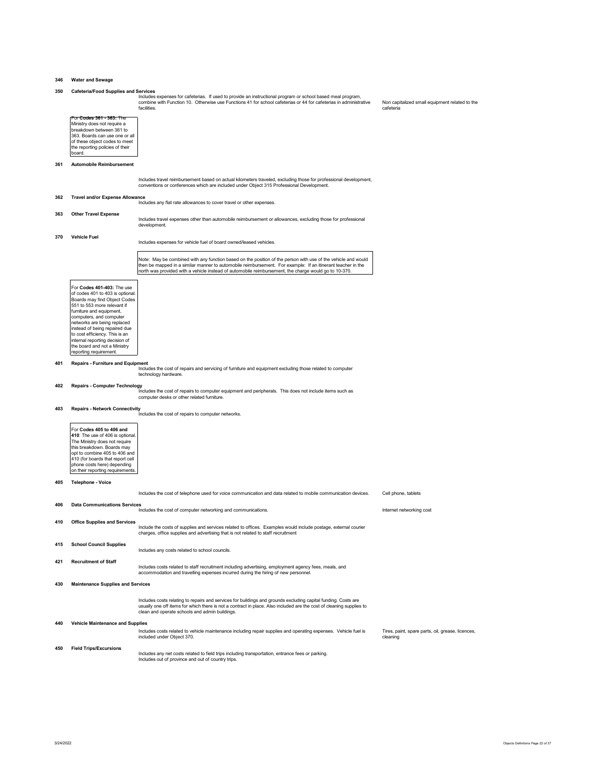# **346 Water and Sewage**

facilities.

350 Cafeteria/Food Supplies and Services<br>Includes expenses for cafeterias. If used to provide an instructional program or school based meal program,<br>combine with Function 10. Otherwise use Functions 41 for school cafeteria

Non capitalized small equipment related to the cafeteria

| For Codes 361 - 363: The        |
|---------------------------------|
| Ministry does not require a     |
| breakdown between 361 to        |
| 363. Boards can use one or all  |
| of these object codes to meet   |
| the reporting policies of their |
| board.                          |

# **361 Automobile Reimbursement**

Includes travel reimbursement based on actual kilometers traveled, excluding those for professional development,<br>conventions or conferences which are included under Object 315 Professional Development.

#### **362 Travel and/or Expense Allowance**

Includes any flat rate allowances to cover travel or other expenses.

# **363 Other Travel Expense**

Includes travel expenses other than automobile reimbursement or allowances, excluding those for professional development.

# **370 Vehicle Fuel**

Includes expenses for vehicle fuel of board owned/leased vehicles.

Note: May be combined with any function based on the position of the person with use of the vehicle and would then be mapped in a similar manner to automobile reimbursement. For example: If an itinerant teacher in the north was provided with a vehicle instead of automobile reimbursement, the charge would go to 10-370.

For **Codes 401-403:** The use of codes 401 to 403 is optional Boards may find Object Codes 551 to 553 more relevant if furniture and equipment, computers, and computer networks are being replaced instead of being repaired due to cost efficiency. This is an internal reporting decision of the board and not a Ministry reporting requirement.

**401 Repairs - Furniture and Equipment**<br>Includes the cost of repairs and servicing of furniture and equipment excluding those related to computer<br>technology hardware.

**402 Repairs - Computer Technology**<br>Includes the cost of repairs to computer equipment and peripherals. This does not include items such as<br>computer desks or other related furniture.

**403 Repairs - Network Connectivity**  Includes the cost of repairs to computer networks.

For **Codes 405 to 406 and 410**: The use of 406 is optional. The Ministry does not require this breakdown. Boards may opt to combine 405 to 406 and 410 (for boards that report cell phone costs here) depending on their reporting requirements.

# **405 Telephone - Voice**

Includes the cost of telephone used for voice communication and data related to mobile communication devices. Cell phone, tablets

### **406 Data Communications Services**

**410 Office Supplies and Services** 

Includes the cost of computer networking and communications. Internet networking cost

Include the costs of supplies and services related to offices. Examples would include postage, external courier charges, office supplies and advertising that is not related to staff recruitment

| 415 | <b>School Council Supplies</b> |                                                |
|-----|--------------------------------|------------------------------------------------|
|     |                                | Includes any costs related to school councils. |

**421 Recruitment of Staff** 

Includes costs related to staff recruitment including advertising, employment agency fees, meals, and accommodation and travelling expenses incurred during the hiring of new personnel.

# **430 Maintenance Supplies and Services**

Includes costs relating to repairs and services for buildings and grounds excluding capital funding. Costs are<br>usually one off items for which there is not a contract in place. Also included are the cost of cleaning suppli clean and operate schools and admin buildings.

# **440 Vehicle Maintenance and Supplies**

Includes costs related to vehicle maintenance including repair supplies and operating expenses. Vehicle fuel is included under Object 370. Tires, paint, spare parts, oil, grease, licences, .<br>eaning

#### **450 Field Trips/Excursions**  Includes any net costs related to field trips including transportation, entrance fees or parking. Includes out of province and out of country trips.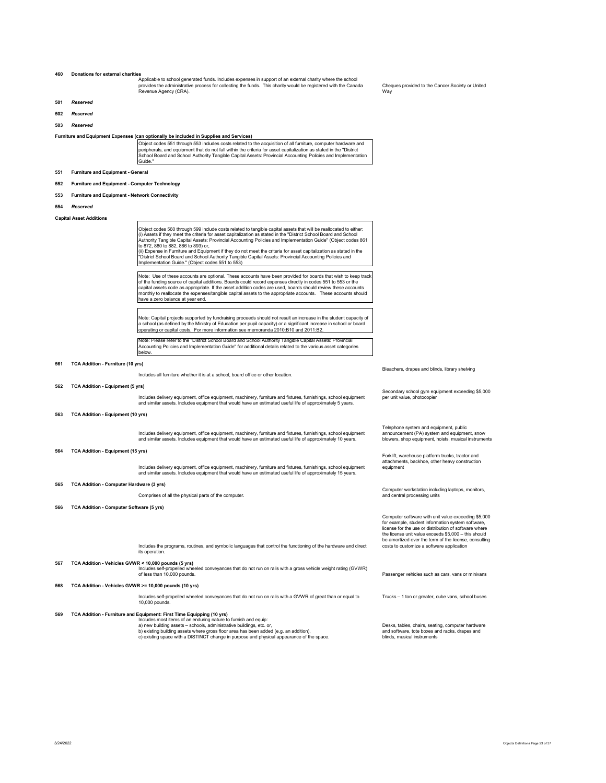# **460 Donations for external charities**  Applicable to school generated funds. Includes expenses in support of an external charity where the school provides the administrative process for collecting the funds. This charity would be registered with the Canada Revenue Agency (CRA). Cheques provided to the Cancer Society or United Way **501** *Reserved*  **502** *Reserved*

**503** *Reserved* 

Furniture and Equipment Expenses (can optionally be included in Supplies and Services)<br>Object codes 551 through 553 includes costs related to the acquisition of all furniture, computer hardware and<br>peripherals, and equipme School Board and School Authority Tangible Capital Assets: Provincial Accounting Policies and Implementation Guide."

# **551 Furniture and Equipment - General**

**552 Furniture and Equipment - Computer Technology** 

# **553 Furniture and Equipment - Network Connectivity**

**554** *Reserved* 

**Capital Asset Additions** 

Object codes 560 through 599 include costs related to tangible capital assets that will be reallocated to either:<br>(i) Assets if they meet the criteria for asset capitalization as stated in the "District School Board and Sc "District School Board and School Authority Tangible Capital Assets: Provincial Accounting Policies and Implementation Guide." (Object codes 551 to 553)

Note: Use of these accounts are optional. These accounts have been provided for boards that wish to keep track<br>of the funding source of capital additions. Boards could record expenses directly in codes 551 to 553 or the<br>ca monthly to reallocate the expenses/tangible capital assets to the appropriate accounts. These accounts should have a zero balance at year end.

Note: Capital projects supported by fundraising proceeds should not result an increase in the student capacity of<br>a school (as defined by the Ministry of Education per pupil capacity) or a significant increase in school or

Note: Please refer to the "District School Board and School Authority Tangible Capital Assets: Provincial Accounting Policies and Implementation Guide" for additional details related to the various asset categories below.

# **561 TCA Addition - Furniture (10 yrs)**

Includes all furniture whether it is at a school, board office or other location.

# **562 TCA Addition - Equipment (5 yrs)**

Includes delivery equipment, office equipment, machinery, furniture and fixtures, furnishings, school equipment and similar assets. Includes equipment that would have an estimated useful life of approximately 5 years.

# **563 TCA Addition - Equipment (10 yrs)**

Includes delivery equipment, office equipment, machinery, furniture and fixtures, furnishings, school equipment and similar assets. Includes equipment that would have an estimated useful life of approximately 10 years.

### **564 TCA Addition - Equipment (15 yrs)**

Includes delivery equipment, office equipment, machinery, furniture and fixtures, furnishings, school equipment and similar assets. Includes equipment that would have an estimated useful life of approximately 15 years.

### **565 TCA Addition - Computer Hardware (3 yrs)**

Comprises of all the physical parts of the computer.

**566 TCA Addition - Computer Software (5 yrs)** 

Includes the programs, routines, and symbolic languages that control the functioning of the hardware and direct its operation

# **567 TCA Addition - Vehicles GVWR < 10,000 pounds (5 yrs)**

Includes self-propelled wheeled conveyances that do not run on rails with a gross vehicle weight rating (GVWR)<br>of less than 10,000 pounds.

### **568 TCA Addition - Vehicles GVWR >= 10,000 pounds (10 yrs)**

Includes self-propelled wheeled conveyances that do not run on rails with a GVWR of great than or equal to 10,000 pounds.

TCA Addition - Furniture and Equipment: First Time Equipping (10 yrs)<br>a) new building assets – schools, administrative buildings, etc. or,<br>a) new building assets – schools, administrative buildings, etc. or,<br>b) existing bu

Bleachers, drapes and blinds, library shelving

Secondary school gym equipment exceeding \$5,000 per unit value, photocopie

Telephone system and equipment, public announcement (PA) system and equipment, snow blowers, shop equipment, hoists, musical instruments

Forklift, warehouse platform trucks, tractor and attachments, backhoe, other heavy construction equipment

Computer workstation including laptops, monitors, and central processing units

Computer software with unit value exceeding \$5,000 for example, student information system software, license for the use or distribution of software where the license unit value exceeds \$5,000 – this should be amortized over the term of the license, consulting costs to customize a software application

Passenger vehicles such as cars, vans or minivans

Trucks – 1 ton or greater, cube vans, school buses

Desks, tables, chairs, seating, computer hardware and software, tote boxes and racks, drapes and blinds, musical instruments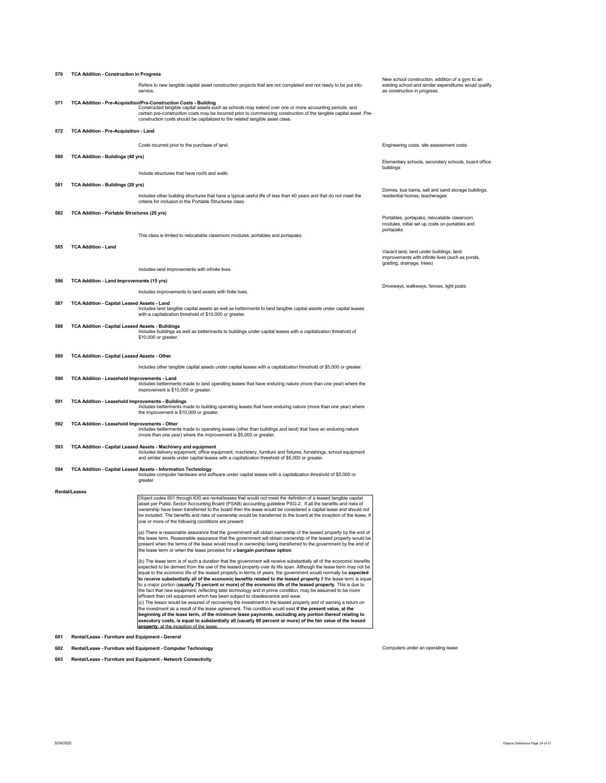| 570 | <b>TCA Addition - Construction in Progress</b>          |                                                                                                                                                                                                                                                                                                                                                                                                                                                                                                                                                                                                                                                                                                                                                                                                                                                                                                                                                                                                                                                                                                                                                                                                                                                                                                  |                                                                                                                                            |  |
|-----|---------------------------------------------------------|--------------------------------------------------------------------------------------------------------------------------------------------------------------------------------------------------------------------------------------------------------------------------------------------------------------------------------------------------------------------------------------------------------------------------------------------------------------------------------------------------------------------------------------------------------------------------------------------------------------------------------------------------------------------------------------------------------------------------------------------------------------------------------------------------------------------------------------------------------------------------------------------------------------------------------------------------------------------------------------------------------------------------------------------------------------------------------------------------------------------------------------------------------------------------------------------------------------------------------------------------------------------------------------------------|--------------------------------------------------------------------------------------------------------------------------------------------|--|
|     |                                                         | Refers to new tangible capital asset construction projects that are not completed and not ready to be put into<br>service.                                                                                                                                                                                                                                                                                                                                                                                                                                                                                                                                                                                                                                                                                                                                                                                                                                                                                                                                                                                                                                                                                                                                                                       | New school construction, addition of a gym to an<br>existing school and similar expenditures would qualify<br>as construction in progress. |  |
| 571 |                                                         | TCA Addition - Pre-Acquisition/Pre-Construction Costs - Building<br>Constructed tangible capital assets such as schools may extend over one or more accounting periods, and<br>certain pre-construction costs may be incurred prior to commencing construction of the tangible capital asset. Pre-<br>construction costs should be capitalized to the related tangible asset class.                                                                                                                                                                                                                                                                                                                                                                                                                                                                                                                                                                                                                                                                                                                                                                                                                                                                                                              |                                                                                                                                            |  |
| 572 | TCA Addition - Pre-Acquisition - Land                   |                                                                                                                                                                                                                                                                                                                                                                                                                                                                                                                                                                                                                                                                                                                                                                                                                                                                                                                                                                                                                                                                                                                                                                                                                                                                                                  |                                                                                                                                            |  |
|     |                                                         | Costs incurred prior to the purchase of land.                                                                                                                                                                                                                                                                                                                                                                                                                                                                                                                                                                                                                                                                                                                                                                                                                                                                                                                                                                                                                                                                                                                                                                                                                                                    | Engineering costs, site assessment costs                                                                                                   |  |
| 580 | <b>TCA Addition - Buildings (40 yrs)</b>                |                                                                                                                                                                                                                                                                                                                                                                                                                                                                                                                                                                                                                                                                                                                                                                                                                                                                                                                                                                                                                                                                                                                                                                                                                                                                                                  | Elementary schools, secondary schools, board office                                                                                        |  |
|     |                                                         | Include structures that have roofs and walls.                                                                                                                                                                                                                                                                                                                                                                                                                                                                                                                                                                                                                                                                                                                                                                                                                                                                                                                                                                                                                                                                                                                                                                                                                                                    | buildings                                                                                                                                  |  |
| 581 | <b>TCA Addition - Buildings (20 yrs)</b>                |                                                                                                                                                                                                                                                                                                                                                                                                                                                                                                                                                                                                                                                                                                                                                                                                                                                                                                                                                                                                                                                                                                                                                                                                                                                                                                  |                                                                                                                                            |  |
|     |                                                         | Includes other building structures that have a typical useful life of less than 40 years and that do not meet the<br>criteria for inclusion in the Portable Structures class.                                                                                                                                                                                                                                                                                                                                                                                                                                                                                                                                                                                                                                                                                                                                                                                                                                                                                                                                                                                                                                                                                                                    | Domes, bus barns, salt and sand storage buildings,<br>residential homes, teacherages                                                       |  |
| 582 | TCA Addition - Portable Structures (20 yrs)             |                                                                                                                                                                                                                                                                                                                                                                                                                                                                                                                                                                                                                                                                                                                                                                                                                                                                                                                                                                                                                                                                                                                                                                                                                                                                                                  |                                                                                                                                            |  |
|     |                                                         |                                                                                                                                                                                                                                                                                                                                                                                                                                                                                                                                                                                                                                                                                                                                                                                                                                                                                                                                                                                                                                                                                                                                                                                                                                                                                                  | Portables, portapaks, relocatable classroom<br>modules, initial set up costs on portables and<br>portapaks                                 |  |
|     |                                                         | This class is limited to relocatable classroom modules, portables and portapaks.                                                                                                                                                                                                                                                                                                                                                                                                                                                                                                                                                                                                                                                                                                                                                                                                                                                                                                                                                                                                                                                                                                                                                                                                                 |                                                                                                                                            |  |
| 585 | <b>TCA Addition - Land</b>                              |                                                                                                                                                                                                                                                                                                                                                                                                                                                                                                                                                                                                                                                                                                                                                                                                                                                                                                                                                                                                                                                                                                                                                                                                                                                                                                  | Vacant land, land under buildings, land<br>improvements with infinite lives (such as ponds,<br>grading, drainage, trees)                   |  |
|     |                                                         | Includes land improvements with infinite lives                                                                                                                                                                                                                                                                                                                                                                                                                                                                                                                                                                                                                                                                                                                                                                                                                                                                                                                                                                                                                                                                                                                                                                                                                                                   |                                                                                                                                            |  |
| 586 | TCA Addition - Land Improvements (15 yrs)               | Includes improvements to land assets with finite lives.                                                                                                                                                                                                                                                                                                                                                                                                                                                                                                                                                                                                                                                                                                                                                                                                                                                                                                                                                                                                                                                                                                                                                                                                                                          | Driveways, walkways, fences, light posts                                                                                                   |  |
| 587 | TCA Addition - Capital Leased Assets - Land             | Includes land tangible capital assets as well as betterments to land tangible capital assets under capital leases                                                                                                                                                                                                                                                                                                                                                                                                                                                                                                                                                                                                                                                                                                                                                                                                                                                                                                                                                                                                                                                                                                                                                                                |                                                                                                                                            |  |
| 588 | <b>TCA Addition - Capital Leased Assets - Buildings</b> | with a capitalization threshold of \$10,000 or greater.<br>Includes buildings as well as betterments to buildings under capital leases with a capitalization threshold of<br>\$10,000 or greater.                                                                                                                                                                                                                                                                                                                                                                                                                                                                                                                                                                                                                                                                                                                                                                                                                                                                                                                                                                                                                                                                                                |                                                                                                                                            |  |
|     |                                                         |                                                                                                                                                                                                                                                                                                                                                                                                                                                                                                                                                                                                                                                                                                                                                                                                                                                                                                                                                                                                                                                                                                                                                                                                                                                                                                  |                                                                                                                                            |  |
| 589 | TCA Addition - Capital Leased Assets - Other            |                                                                                                                                                                                                                                                                                                                                                                                                                                                                                                                                                                                                                                                                                                                                                                                                                                                                                                                                                                                                                                                                                                                                                                                                                                                                                                  |                                                                                                                                            |  |
|     |                                                         | Includes other tangible capital assets under capital leases with a capitalization threshold of \$5,000 or greater.                                                                                                                                                                                                                                                                                                                                                                                                                                                                                                                                                                                                                                                                                                                                                                                                                                                                                                                                                                                                                                                                                                                                                                               |                                                                                                                                            |  |
| 590 | TCA Addition - Leasehold Improvements - Land            | Includes betterments made to land operating leases that have enduring nature (more than one year) where the<br>improvement is \$10,000 or greater.                                                                                                                                                                                                                                                                                                                                                                                                                                                                                                                                                                                                                                                                                                                                                                                                                                                                                                                                                                                                                                                                                                                                               |                                                                                                                                            |  |
| 591 | TCA Addition - Leasehold Improvements - Buildings       | Includes betterments made to building operating leases that have enduring nature (more than one year) where<br>the improvement is \$10,000 or greater.                                                                                                                                                                                                                                                                                                                                                                                                                                                                                                                                                                                                                                                                                                                                                                                                                                                                                                                                                                                                                                                                                                                                           |                                                                                                                                            |  |
| 592 | TCA Addition - Leasehold Improvements - Other           | Includes betterments made to operating leases (other than buildings and land) that have an enduring nature<br>(more than one year) where the improvement is \$5,000 or greater.                                                                                                                                                                                                                                                                                                                                                                                                                                                                                                                                                                                                                                                                                                                                                                                                                                                                                                                                                                                                                                                                                                                  |                                                                                                                                            |  |
| 593 |                                                         | TCA Addition - Capital Leased Assets - Machinery and equipment<br>Includes delivery equipment, office equipment, machinery, furniture and fixtures, furnishings, school equipment<br>and similar assets under capital leases with a capitalization threshold of \$5,000 or greater.                                                                                                                                                                                                                                                                                                                                                                                                                                                                                                                                                                                                                                                                                                                                                                                                                                                                                                                                                                                                              |                                                                                                                                            |  |
| 594 |                                                         | TCA Addition - Capital Leased Assets - Information Technology<br>Includes computer hardware and software under capital leases with a capitalization threshold of \$5,000 or<br>greater.                                                                                                                                                                                                                                                                                                                                                                                                                                                                                                                                                                                                                                                                                                                                                                                                                                                                                                                                                                                                                                                                                                          |                                                                                                                                            |  |
|     | <b>Rental/Leases</b>                                    |                                                                                                                                                                                                                                                                                                                                                                                                                                                                                                                                                                                                                                                                                                                                                                                                                                                                                                                                                                                                                                                                                                                                                                                                                                                                                                  |                                                                                                                                            |  |
|     |                                                         | Object codes 601 through 630 are rental/leases that would not meet the definition of a leased tangible capital<br>asset per Public Sector Accounting Board (PSAB) accounting guideline PSG-2. If all the benefits and risks of<br>ownership have been transferred to the board then the lease would be considered a capital lease and should not<br>be included. The benefits and risks of ownership would be transferred to the board at the inception of the lease, if<br>one or more of the following conditions are present:                                                                                                                                                                                                                                                                                                                                                                                                                                                                                                                                                                                                                                                                                                                                                                 |                                                                                                                                            |  |
|     |                                                         | (a) There is reasonable assurance that the government will obtain ownership of the leased property by the end of<br>the lease term. Reasonable assurance that the government will obtain ownership of the leased property would be<br>present when the terms of the lease would result in ownership being transferred to the government by the end of<br>the lease term or when the lease provides for a bargain purchase option.                                                                                                                                                                                                                                                                                                                                                                                                                                                                                                                                                                                                                                                                                                                                                                                                                                                                |                                                                                                                                            |  |
|     |                                                         | (b) The lease term is of such a duration that the government will receive substantially all of the economic benefits<br>expected to be derived from the use of the leased property over its life span. Although the lease term may not be<br>equal to the economic life of the leased property in terms of years, the government would normally be expected<br>to receive substantially all of the economic benefits related to the leased property if the lease term is equal<br>to a major portion (usually 75 percent or more) of the economic life of the leased property. This is due to<br>the fact that new equipment, reflecting later technology and in prime condition, may be assumed to be more<br>efficient than old equipment which has been subject to obsolescence and wear.<br>(c) The lessor would be assured of recovering the investment in the leased property and of earning a return on<br>the investment as a result of the lease agreement. This condition would exist if the present value, at the<br>beginning of the lease term, of the minimum lease payments, excluding any portion thereof relating to<br>executory costs, is equal to substantially all (usually 90 percent or more) of the fair value of the leased<br>property, at the inception of the lease. |                                                                                                                                            |  |
| 601 | Rental/Lease - Furniture and Equipment - General        |                                                                                                                                                                                                                                                                                                                                                                                                                                                                                                                                                                                                                                                                                                                                                                                                                                                                                                                                                                                                                                                                                                                                                                                                                                                                                                  |                                                                                                                                            |  |
| 602 |                                                         | Rental/Lease - Furniture and Equipment - Computer Technology                                                                                                                                                                                                                                                                                                                                                                                                                                                                                                                                                                                                                                                                                                                                                                                                                                                                                                                                                                                                                                                                                                                                                                                                                                     | Computers under an operating lease                                                                                                         |  |

**603 Rental/Lease - Furniture and Equipment - Network Connectivity**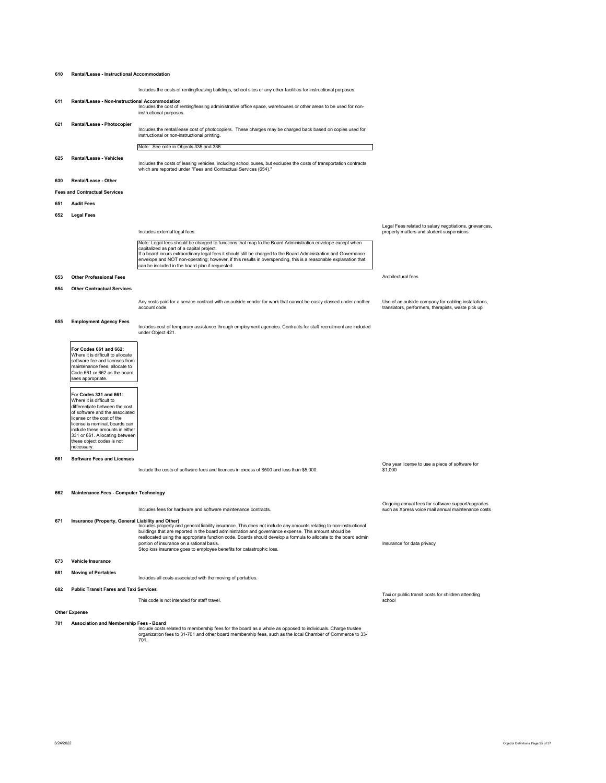## **610 Rental/Lease - Instructional Accommodation**

Includes the costs of renting/leasing buildings, school sites or any other facilities for instructional purposes. **611 Rental/Lease - Non-Instructional Accommodation**  Includes the cost of renting/leasing administrative office space, warehouses or other areas to be used for non-instructional purposes. **621 Rental/Lease - Photocopier**  Includes the rental/lease cost of photocopiers. These charges may be charged back based on copies used for instructional or non-instructional printing. Note: See note in Objects 335 and 336. **625 Rental/Lease - Vehicles**  Includes the costs of leasing vehicles, including school buses, but excludes the costs of transportation contracts which are reported under "Fees and Contractual Services (654)." **630 Rental/Lease - Other Fees and Contractual Services 651 Audit Fees 652 Legal Fees**  Includes external legal fees. Note: Legal fees should be charged to functions that map to the Board Administration en capitalized as part of a capital project.<br>If a board incurs extraordinary legal fees it should still be charged to the Board Administration and Governance If a board incurs extraordinary legal fees it should still be charged to the Board Administration and Governance<br>envelope and NOT non-operating; however, if this results in overspending, this is a reasonable explanation th Legal Fees related to salary negotiations, grievances, property matters and student suspensions. **653 Other Professional Fees** Architectural fees **654 Other Contractual Services**  Any costs paid for a service contract with an outside vendor for work that cannot be easily classed under another ,<br>count code. Use of an outside company for cabling installations, translators, performers, therapists, waste pick up **655 Employment Agency Fees**  Includes cost of temporary assistance through employment agencies. Contracts for staff recruitment are included under Object 421. **For Codes 661 and 662:**  Where it is difficult to allocate software fee and licenses from maintenance fees, allocate to Code 661 or 662 as the board sees appropriate For **Codes 331 and 661**: Where it is difficult to differentiate between the cost of software and the associated license or the cost of the license is nominal, boards can include these amounts in either 331 or 661. Allocating between these object codes is not necessary. **661 Software Fees and Licenses**  Include the costs of software fees and licences in excess of \$500 and less than \$5,000. One year license to use a piece of software for  $$1,000$ **662 Maintenance Fees - Computer Technology**  Includes fees for hardware and software maintenance contracts. Ongoing annual fees for software support/upgrades such as Xpress voice mail annual maintenance costs **Insurance (Property, General Lichlity and Other)**<br>Includes property and general liability insurance. This does not include any amounts relating to non-instructional<br>buildings that are reported in the board administration Insurance for data privacy **673 Vehicle Insurance 681 Moving of Portables**  Includes all costs associated with the moving of portables. **682 Public Transit Fares and Taxi Services**  This code is not intended for staff travel. Taxi or public transit costs for children attending school **Other Expense**  Association and Membership Fees - Board<br>Include costs related to membership fees for the board as a whole as opposed to individuals. Charge trustee<br>33-organization fees to 31-701 and other board membership fees, such as t

701.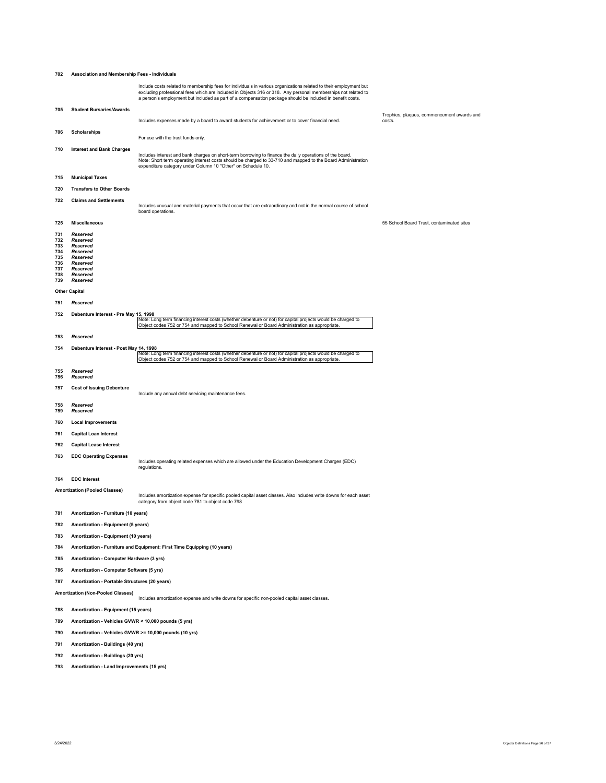| 702        | Association and Membership Fees - Individuals          |                                                                                                                                                                                                                                                                                                                                                 |                                                      |  |
|------------|--------------------------------------------------------|-------------------------------------------------------------------------------------------------------------------------------------------------------------------------------------------------------------------------------------------------------------------------------------------------------------------------------------------------|------------------------------------------------------|--|
|            |                                                        | Include costs related to membership fees for individuals in various organizations related to their employment but<br>excluding professional fees which are included in Objects 316 or 318. Any personal memberships not related to<br>a person's employment but included as part of a compensation package should be included in benefit costs. |                                                      |  |
| 705        | <b>Student Bursaries/Awards</b>                        |                                                                                                                                                                                                                                                                                                                                                 |                                                      |  |
|            |                                                        | Includes expenses made by a board to award students for achievement or to cover financial need.                                                                                                                                                                                                                                                 | Trophies, plaques, commencement awards and<br>costs. |  |
| 706        | <b>Scholarships</b>                                    |                                                                                                                                                                                                                                                                                                                                                 |                                                      |  |
|            |                                                        | For use with the trust funds only.                                                                                                                                                                                                                                                                                                              |                                                      |  |
| 710        | <b>Interest and Bank Charges</b>                       | Includes interest and bank charges on short-term borrowing to finance the daily operations of the board.<br>Note: Short term operating interest costs should be charged to 33-710 and mapped to the Board Administration<br>expenditure category under Column 10 "Other" on Schedule 10.                                                        |                                                      |  |
| 715        | <b>Municipal Taxes</b>                                 |                                                                                                                                                                                                                                                                                                                                                 |                                                      |  |
| 720        | <b>Transfers to Other Boards</b>                       |                                                                                                                                                                                                                                                                                                                                                 |                                                      |  |
| 722        | <b>Claims and Settlements</b>                          | Includes unusual and material payments that occur that are extraordinary and not in the normal course of school<br>board operations.                                                                                                                                                                                                            |                                                      |  |
| 725        | <b>Miscellaneous</b>                                   |                                                                                                                                                                                                                                                                                                                                                 | 55 School Board Trust, contaminated sites            |  |
| 731        | Reserved                                               |                                                                                                                                                                                                                                                                                                                                                 |                                                      |  |
| 732<br>733 | Reserved<br>Reserved                                   |                                                                                                                                                                                                                                                                                                                                                 |                                                      |  |
| 734<br>735 | Reserved<br>Reserved                                   |                                                                                                                                                                                                                                                                                                                                                 |                                                      |  |
| 736<br>737 | Reserved<br>Reserved                                   |                                                                                                                                                                                                                                                                                                                                                 |                                                      |  |
| 738        | Reserved                                               |                                                                                                                                                                                                                                                                                                                                                 |                                                      |  |
| 739        | Reserved                                               |                                                                                                                                                                                                                                                                                                                                                 |                                                      |  |
|            | <b>Other Capital</b>                                   |                                                                                                                                                                                                                                                                                                                                                 |                                                      |  |
| 751        | Reserved                                               |                                                                                                                                                                                                                                                                                                                                                 |                                                      |  |
| 752        | Debenture Interest - Pre May 15, 1998                  | Note: Long term financing interest costs (whether debenture or not) for capital projects would be charged to                                                                                                                                                                                                                                    |                                                      |  |
|            |                                                        | Object codes 752 or 754 and mapped to School Renewal or Board Administration as appropriate                                                                                                                                                                                                                                                     |                                                      |  |
| 753        | Reserved                                               |                                                                                                                                                                                                                                                                                                                                                 |                                                      |  |
| 754        | Debenture Interest - Post May 14, 1998                 | Note: Long term financing interest costs (whether debenture or not) for capital projects would be charged to<br>Object codes 752 or 754 and mapped to School Renewal or Board Administration as appropriate.                                                                                                                                    |                                                      |  |
| 755<br>756 | Reserved<br>Reserved                                   |                                                                                                                                                                                                                                                                                                                                                 |                                                      |  |
| 757        | <b>Cost of Issuing Debenture</b>                       | Include any annual debt servicing maintenance fees.                                                                                                                                                                                                                                                                                             |                                                      |  |
| 758<br>759 | Reserved<br>Reserved                                   |                                                                                                                                                                                                                                                                                                                                                 |                                                      |  |
| 760        | <b>Local Improvements</b>                              |                                                                                                                                                                                                                                                                                                                                                 |                                                      |  |
| 761        | <b>Capital Loan Interest</b>                           |                                                                                                                                                                                                                                                                                                                                                 |                                                      |  |
| 762        | <b>Capital Lease Interest</b>                          |                                                                                                                                                                                                                                                                                                                                                 |                                                      |  |
| 763        | <b>EDC Operating Expenses</b>                          | Includes operating related expenses which are allowed under the Education Development Charges (EDC)<br>regulations.                                                                                                                                                                                                                             |                                                      |  |
| 764        | <b>EDC</b> Interest                                    |                                                                                                                                                                                                                                                                                                                                                 |                                                      |  |
|            | <b>Amortization (Pooled Classes)</b>                   | Includes amortization expense for specific pooled capital asset classes. Also includes write downs for each asset<br>category from object code 781 to object code 798                                                                                                                                                                           |                                                      |  |
| 781        | Amortization - Furniture (10 years)                    |                                                                                                                                                                                                                                                                                                                                                 |                                                      |  |
| 782        | Amortization - Equipment (5 years)                     |                                                                                                                                                                                                                                                                                                                                                 |                                                      |  |
| 783        | Amortization - Equipment (10 years)                    |                                                                                                                                                                                                                                                                                                                                                 |                                                      |  |
| 784        |                                                        | Amortization - Furniture and Equipment: First Time Equipping (10 years)                                                                                                                                                                                                                                                                         |                                                      |  |
| 785        | Amortization - Computer Hardware (3 yrs)               |                                                                                                                                                                                                                                                                                                                                                 |                                                      |  |
|            |                                                        |                                                                                                                                                                                                                                                                                                                                                 |                                                      |  |
| 786        | Amortization - Computer Software (5 yrs)               |                                                                                                                                                                                                                                                                                                                                                 |                                                      |  |
|            | Amortization - Portable Structures (20 years)<br>787   |                                                                                                                                                                                                                                                                                                                                                 |                                                      |  |
|            | <b>Amortization (Non-Pooled Classes)</b>               | Includes amortization expense and write downs for specific non-pooled capital asset classes.                                                                                                                                                                                                                                                    |                                                      |  |
| 788        | Amortization - Equipment (15 years)                    |                                                                                                                                                                                                                                                                                                                                                 |                                                      |  |
| 789        | Amortization - Vehicles GVWR < 10,000 pounds (5 yrs)   |                                                                                                                                                                                                                                                                                                                                                 |                                                      |  |
| 790        | Amortization - Vehicles GVWR >= 10,000 pounds (10 yrs) |                                                                                                                                                                                                                                                                                                                                                 |                                                      |  |
| 791        | Amortization - Buildings (40 yrs)                      |                                                                                                                                                                                                                                                                                                                                                 |                                                      |  |
| 792        | Amortization - Buildings (20 yrs)                      |                                                                                                                                                                                                                                                                                                                                                 |                                                      |  |
| 793        | Amortization - Land Improvements (15 yrs)              |                                                                                                                                                                                                                                                                                                                                                 |                                                      |  |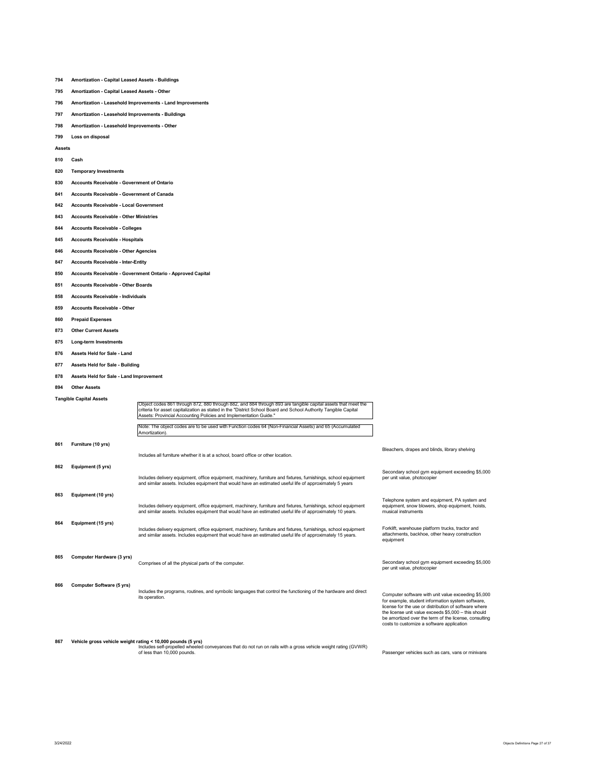# **794 Amortization - Capital Leased Assets - Buildings**

- **795 Amortization Capital Leased Assets Other**
- **796 Amortization Leasehold Improvements Land Improvements**
- **797 Amortization Leasehold Improvements Buildings**
- **798 Amortization Leasehold Improvements Other**
- **799 Loss on disposal**

**Assets** 

# **810 Cash**

- **820 Temporary Investments**
- **830 Accounts Receivable Government of Ontario**
- **841 Accounts Receivable Government of Canada**
- **842 Accounts Receivable Local Government**
- **843 Accounts Receivable Other Ministries**
- **844 Accounts Receivable Colleges**
- **845 Accounts Receivable Hospitals**

# **846 Accounts Receivable - Other Agencies**

**847 Accounts Receivable - Inter-Entity** 

# **850 Accounts Receivable - Government Ontario - Approved Capital**

- **851 Accounts Receivable Other Boards**
- **858 Accounts Receivable Individuals**
- **859 Accounts Receivable Other**
- **860 Prepaid Expenses**
- **873 Other Current Assets**
- **875 Long-term Investments**
- **876 Assets Held for Sale Land**
- 
- **877 Assets Held for Sale Building**
- **878 Assets Held for Sale Land Improvement**
- **894 Other Assets**

# **Tangible Capital Assets**

|     | Tangible Capital Assets   | Object codes 861 through 872, 880 through 882, and 884 through 893 are tangible capital assets that meet the<br>criteria for asset capitalization as stated in the "District School Board and School Authority Tangible Capital<br>Assets: Provincial Accounting Policies and Implementation Guide."<br>Note: The object codes are to be used with Function codes 64 (Non-Financial Assets) and 65 (Accumulated |                                                                                                                                                                                                                                                                                                                                 |
|-----|---------------------------|-----------------------------------------------------------------------------------------------------------------------------------------------------------------------------------------------------------------------------------------------------------------------------------------------------------------------------------------------------------------------------------------------------------------|---------------------------------------------------------------------------------------------------------------------------------------------------------------------------------------------------------------------------------------------------------------------------------------------------------------------------------|
|     |                           | Amortization).                                                                                                                                                                                                                                                                                                                                                                                                  |                                                                                                                                                                                                                                                                                                                                 |
| 861 | Furniture (10 yrs)        | Includes all furniture whether it is at a school, board office or other location.                                                                                                                                                                                                                                                                                                                               | Bleachers, drapes and blinds, library shelving                                                                                                                                                                                                                                                                                  |
| 862 | Equipment (5 yrs)         | Includes delivery equipment, office equipment, machinery, furniture and fixtures, furnishings, school equipment<br>and similar assets. Includes equipment that would have an estimated useful life of approximately 5 years                                                                                                                                                                                     | Secondary school gym equipment exceeding \$5,000<br>per unit value, photocopier                                                                                                                                                                                                                                                 |
| 863 | Equipment (10 yrs)        | Includes delivery equipment, office equipment, machinery, furniture and fixtures, furnishings, school equipment<br>and similar assets. Includes equipment that would have an estimated useful life of approximately 10 years.                                                                                                                                                                                   | Telephone system and equipment, PA system and<br>equipment, snow blowers, shop equipment, hoists,<br>musical instruments                                                                                                                                                                                                        |
| 864 | Equipment (15 yrs)        | Includes delivery equipment, office equipment, machinery, furniture and fixtures, furnishings, school equipment<br>and similar assets. Includes equipment that would have an estimated useful life of approximately 15 years.                                                                                                                                                                                   | Forklift, warehouse platform trucks, tractor and<br>attachments, backhoe, other heavy construction<br>equipment                                                                                                                                                                                                                 |
| 865 | Computer Hardware (3 yrs) | Comprises of all the physical parts of the computer.                                                                                                                                                                                                                                                                                                                                                            | Secondary school gym equipment exceeding \$5,000<br>per unit value, photocopier                                                                                                                                                                                                                                                 |
| 866 | Computer Software (5 yrs) | Includes the programs, routines, and symbolic languages that control the functioning of the hardware and direct<br>its operation.                                                                                                                                                                                                                                                                               | Computer software with unit value exceeding \$5,000<br>for example, student information system software,<br>license for the use or distribution of software where<br>the license unit value exceeds \$5,000 - this should<br>be amortized over the term of the license, consulting<br>costs to customize a software application |
| 867 |                           | Vehicle gross vehicle weight rating < 10,000 pounds (5 yrs)<br>Includes self-propelled wheeled conveyances that do not run on rails with a gross vehicle weight rating (GVWR)<br>of less than 10,000 pounds.                                                                                                                                                                                                    | Passenger vehicles such as cars, vans or minivans                                                                                                                                                                                                                                                                               |

Passenger vehicles such as cars, vans or minivans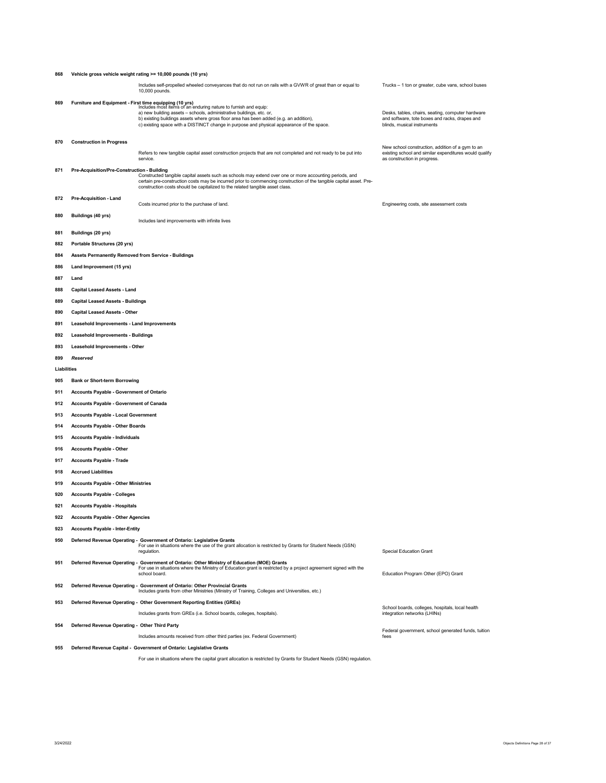| 868         |                                                         | Vehicle gross vehicle weight rating >= 10,000 pounds (10 yrs)                                                                                                                                                                                                                                                                  |                                                                                                                                            |  |  |  |  |  |  |  |  |
|-------------|---------------------------------------------------------|--------------------------------------------------------------------------------------------------------------------------------------------------------------------------------------------------------------------------------------------------------------------------------------------------------------------------------|--------------------------------------------------------------------------------------------------------------------------------------------|--|--|--|--|--|--|--|--|
|             |                                                         | Includes self-propelled wheeled conveyances that do not run on rails with a GVWR of great than or equal to<br>10,000 pounds.                                                                                                                                                                                                   | Trucks - 1 ton or greater, cube vans, school buses                                                                                         |  |  |  |  |  |  |  |  |
| 869         | Furniture and Equipment - First time equipping (10 yrs) | Includes most items of an enduring nature to furnish and equip:<br>a) new building assets - schools, administrative buildings, etc. or,<br>b) existing buildings assets where gross floor area has been added (e.g. an addition),<br>c) existing space with a DISTINCT change in purpose and physical appearance of the space. | Desks, tables, chairs, seating, computer hardware<br>and software, tote boxes and racks, drapes and<br>blinds, musical instruments         |  |  |  |  |  |  |  |  |
| 870         | <b>Construction in Progress</b>                         |                                                                                                                                                                                                                                                                                                                                |                                                                                                                                            |  |  |  |  |  |  |  |  |
|             |                                                         | Refers to new tangible capital asset construction projects that are not completed and not ready to be put into<br>service.                                                                                                                                                                                                     | New school construction, addition of a gym to an<br>existing school and similar expenditures would qualify<br>as construction in progress. |  |  |  |  |  |  |  |  |
| 871         | Pre-Acquisition/Pre-Construction - Building             | Constructed tangible capital assets such as schools may extend over one or more accounting periods, and<br>certain pre-construction costs may be incurred prior to commencing construction of the tangible capital asset. Pre-<br>construction costs should be capitalized to the related tangible asset class.                |                                                                                                                                            |  |  |  |  |  |  |  |  |
| 872         | Pre-Acquisition - Land                                  | Costs incurred prior to the purchase of land.                                                                                                                                                                                                                                                                                  |                                                                                                                                            |  |  |  |  |  |  |  |  |
| 880         | Buildings (40 yrs)                                      | Engineering costs, site assessment costs<br>Includes land improvements with infinite lives                                                                                                                                                                                                                                     |                                                                                                                                            |  |  |  |  |  |  |  |  |
| 881         | Buildings (20 yrs)                                      |                                                                                                                                                                                                                                                                                                                                |                                                                                                                                            |  |  |  |  |  |  |  |  |
| 882         | Portable Structures (20 yrs)                            |                                                                                                                                                                                                                                                                                                                                |                                                                                                                                            |  |  |  |  |  |  |  |  |
| 884         | Assets Permanently Removed from Service - Buildings     |                                                                                                                                                                                                                                                                                                                                |                                                                                                                                            |  |  |  |  |  |  |  |  |
| 886         | Land Improvement (15 yrs)                               |                                                                                                                                                                                                                                                                                                                                |                                                                                                                                            |  |  |  |  |  |  |  |  |
| 887         | Land                                                    |                                                                                                                                                                                                                                                                                                                                |                                                                                                                                            |  |  |  |  |  |  |  |  |
| 888         | <b>Capital Leased Assets - Land</b>                     |                                                                                                                                                                                                                                                                                                                                |                                                                                                                                            |  |  |  |  |  |  |  |  |
| 889         | <b>Capital Leased Assets - Buildings</b>                |                                                                                                                                                                                                                                                                                                                                |                                                                                                                                            |  |  |  |  |  |  |  |  |
| 890         | <b>Capital Leased Assets - Other</b>                    |                                                                                                                                                                                                                                                                                                                                |                                                                                                                                            |  |  |  |  |  |  |  |  |
| 891         |                                                         |                                                                                                                                                                                                                                                                                                                                |                                                                                                                                            |  |  |  |  |  |  |  |  |
| 892         | Leasehold Improvements - Land Improvements              |                                                                                                                                                                                                                                                                                                                                |                                                                                                                                            |  |  |  |  |  |  |  |  |
| 893         | <b>Leasehold Improvements - Buildings</b>               |                                                                                                                                                                                                                                                                                                                                |                                                                                                                                            |  |  |  |  |  |  |  |  |
| 899         | Leasehold Improvements - Other<br>Reserved              |                                                                                                                                                                                                                                                                                                                                |                                                                                                                                            |  |  |  |  |  |  |  |  |
| Liabilities |                                                         |                                                                                                                                                                                                                                                                                                                                |                                                                                                                                            |  |  |  |  |  |  |  |  |
| 905         | <b>Bank or Short-term Borrowing</b>                     |                                                                                                                                                                                                                                                                                                                                |                                                                                                                                            |  |  |  |  |  |  |  |  |
| 911         | Accounts Payable - Government of Ontario                |                                                                                                                                                                                                                                                                                                                                |                                                                                                                                            |  |  |  |  |  |  |  |  |
| 912         | Accounts Payable - Government of Canada                 |                                                                                                                                                                                                                                                                                                                                |                                                                                                                                            |  |  |  |  |  |  |  |  |
| 913         | <b>Accounts Payable - Local Government</b>              |                                                                                                                                                                                                                                                                                                                                |                                                                                                                                            |  |  |  |  |  |  |  |  |
| 914         | <b>Accounts Payable - Other Boards</b>                  |                                                                                                                                                                                                                                                                                                                                |                                                                                                                                            |  |  |  |  |  |  |  |  |
| 915         | <b>Accounts Payable - Individuals</b>                   |                                                                                                                                                                                                                                                                                                                                |                                                                                                                                            |  |  |  |  |  |  |  |  |
| 916         | <b>Accounts Payable - Other</b>                         |                                                                                                                                                                                                                                                                                                                                |                                                                                                                                            |  |  |  |  |  |  |  |  |
| 917         | <b>Accounts Payable - Trade</b>                         |                                                                                                                                                                                                                                                                                                                                |                                                                                                                                            |  |  |  |  |  |  |  |  |
| 918         | <b>Accrued Liabilities</b>                              |                                                                                                                                                                                                                                                                                                                                |                                                                                                                                            |  |  |  |  |  |  |  |  |
| 919         | <b>Accounts Payable - Other Ministries</b>              |                                                                                                                                                                                                                                                                                                                                |                                                                                                                                            |  |  |  |  |  |  |  |  |
| 920         | <b>Accounts Payable - Colleges</b>                      |                                                                                                                                                                                                                                                                                                                                |                                                                                                                                            |  |  |  |  |  |  |  |  |
| 921         | <b>Accounts Payable - Hospitals</b>                     |                                                                                                                                                                                                                                                                                                                                |                                                                                                                                            |  |  |  |  |  |  |  |  |
| 922         | <b>Accounts Payable - Other Agencies</b>                |                                                                                                                                                                                                                                                                                                                                |                                                                                                                                            |  |  |  |  |  |  |  |  |
| 923         | <b>Accounts Payable - Inter-Entity</b>                  |                                                                                                                                                                                                                                                                                                                                |                                                                                                                                            |  |  |  |  |  |  |  |  |
| 950         |                                                         | Deferred Revenue Operating - Government of Ontario: Legislative Grants<br>For use in situations where the use of the grant allocation is restricted by Grants for Student Needs (GSN)<br>regulation.                                                                                                                           | <b>Special Education Grant</b>                                                                                                             |  |  |  |  |  |  |  |  |
| 951         |                                                         | Deferred Revenue Operating - Government of Ontario: Other Ministry of Education (MOE) Grants<br>For use in situations where the Ministry of Education grant is restricted by a project agreement signed with the<br>school board.                                                                                              | Education Program Other (EPO) Grant                                                                                                        |  |  |  |  |  |  |  |  |
| 952         |                                                         | Deferred Revenue Operating - Government of Ontario: Other Provincial Grants<br>Includes grants from other Ministries (Ministry of Training, Colleges and Universities, etc.)                                                                                                                                                   |                                                                                                                                            |  |  |  |  |  |  |  |  |
| 953         |                                                         | Deferred Revenue Operating - Other Government Reporting Entities (GREs)                                                                                                                                                                                                                                                        |                                                                                                                                            |  |  |  |  |  |  |  |  |
|             |                                                         | Includes grants from GREs (i.e. School boards, colleges, hospitals).                                                                                                                                                                                                                                                           | School boards, colleges, hospitals, local health<br>integration networks (LHINs)                                                           |  |  |  |  |  |  |  |  |
| 954         | Deferred Revenue Operating - Other Third Party          |                                                                                                                                                                                                                                                                                                                                |                                                                                                                                            |  |  |  |  |  |  |  |  |
|             |                                                         | Includes amounts received from other third parties (ex. Federal Government)                                                                                                                                                                                                                                                    | Federal government, school generated funds, tuition<br>fees                                                                                |  |  |  |  |  |  |  |  |
| 955         |                                                         | Deferred Revenue Capital - Government of Ontario: Legislative Grants                                                                                                                                                                                                                                                           |                                                                                                                                            |  |  |  |  |  |  |  |  |

For use in situations where the capital grant allocation is restricted by Grants for Student Needs (GSN) regulation.

 $3/24/2022$  Objects Definitions Page 28 of 37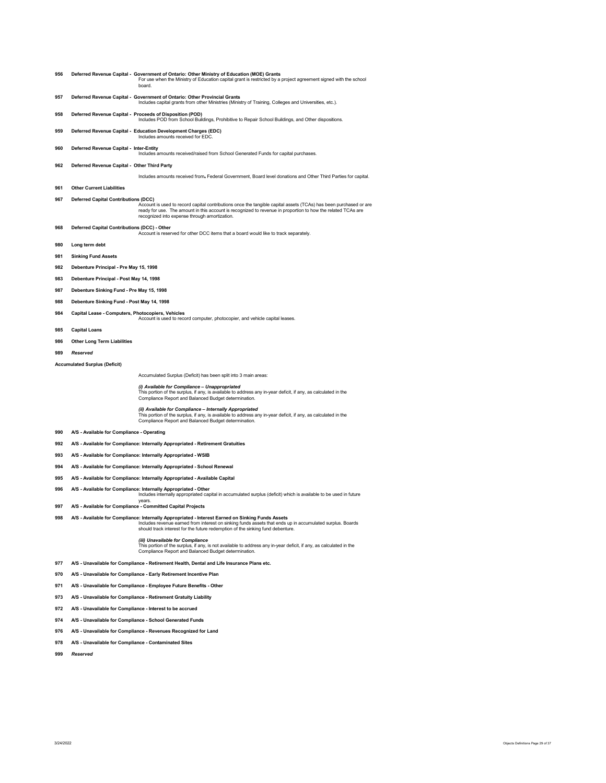- **Deferred Revenue Capital Government of Ontario: Other Ministry of Education (MOE) Grants**  For use when the Ministry of Education capital grant is restricted by a project agreement signed with the school board.
- **Deferred Revenue Capital Government of Ontario: Other Provincial Grants**  Includes capital grants from other Ministries (Ministry of Training, Colleges and Universities, etc.).
- **Deferred Revenue Capital Proceeds of Disposition (POD)**  Includes POD from School Buildings, Prohibitive to Repair School Buildings, and Other dispositions.
- **Deferred Revenue Capital Education Development Charges (EDC)**  Includes amounts received for EDC.
- **Deferred Revenue Capital Inter-Entity** 
	- **J**<br>amounts received/raised from School Generated Funds for capital purchases
- **Deferred Revenue Capital Other Third Party**
- Includes amounts received from, Federal Government, Board level donations and Other Third Parties for capital.
- **Other Current Liabilities**
- **Deferred Capital Contributions (DCC)** 
	- Account is used to record capital contributions once the tangible capital assets (TCAs) has been purchased or are ready for use. The amount in this account is recognized to revenue in proportion to how the related TCAs are recognized into expense through amortization.
- **Deferred Capital Contributions (DCC) Other**

Account is reserved for other DCC items that a board would like to track separately.

- **Long term debt**
- **Sinking Fund Assets**
- **Debenture Principal Pre May 15, 1998**
- **Debenture Principal Post May 14, 1998**
- **Debenture Sinking Fund Pre May 15, 1998**
- **Debenture Sinking Fund Post May 14, 1998**
- 
- **Capital Lease Computers, Photocopiers, Vehicles**  Account is used to record computer, photocopier, and vehicle capital leases.
- **Capital Loans**
- **Other Long Term Liabilities**
- *Reserved*
- **Accumulated Surplus (Deficit)**

# Accumulated Surplus (Deficit) has been split into 3 main areas:

*(i) Available for Compliance – Unappropriated*  This portion of the surplus, if any, is available to address any in-year deficit, if any, as calculated in the Compliance Report and Balanced Budget determination.

*(ii) Available for Compliance – Internally Appropriated*<br>This portion of the surplus, if any, is available to address any in-year deficit, if any, as calculated in the<br>Compliance Report and Balanced Budget determination.

- **A/S Available for Compliance Operating**
- **A/S Available for Compliance: Internally Appropriated Retirement Gratuities**
- **A/S Available for Compliance: Internally Appropriated WSIB**
- **A/S Available for Compliance: Internally Appropriated School Renewal**
- **A/S Available for Compliance: Internally Appropriated Available Capital**
- 
- **A/S Available for Compliance: Internally Appropriated Other**  Includes internally appropriated capital in accumulated surplus (deficit) which is available to be used in future
- years. **A/S Available for Compliance Committed Capital Projects**

998 A/S - Available for Compliance: Internally Appropriated - Interest Earned on Sinking Funds Assets<br>Includes revenue earned from interest on sinking funds assets that ends up in accumulated surplus. Boards<br>should track i

*(iii) Unavailable for Compliance*  This portion of the surplus, if any, is not available to address any in-year deficit, if any, as calculated in the Compliance Report and Balanced Budget determination.

- **A/S Unavailable for Compliance Retirement Health, Dental and Life Insurance Plans etc.**
- **A/S Unavailable for Compliance Early Retirement Incentive Plan**
- **A/S Unavailable for Compliance Employee Future Benefits Other**
- **A/S Unavailable for Compliance Retirement Gratuity Liability**
- **A/S Unavailable for Compliance Interest to be accrued**
- **A/S Unavailable for Compliance School Generated Funds**
- **A/S Unavailable for Compliance Revenues Recognized for Land**
- **A/S Unavailable for Compliance Contaminated Sites**
- *Reserved*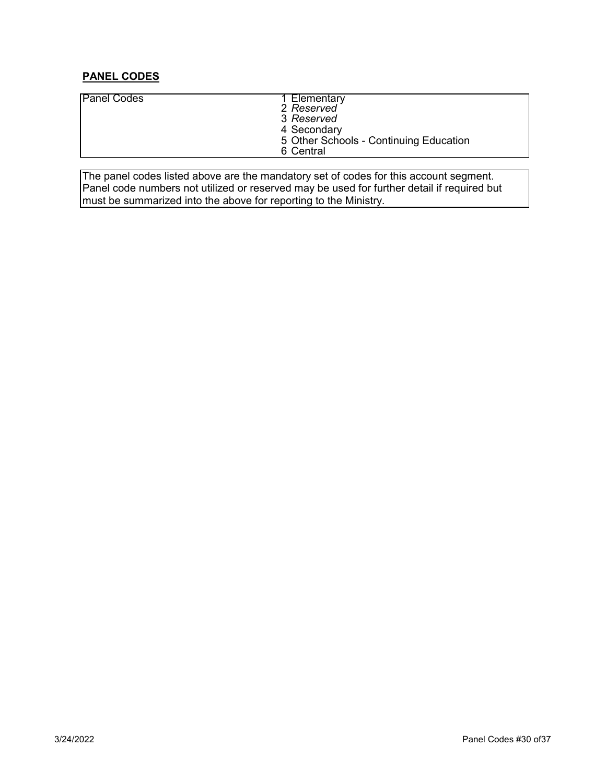# **PANEL CODES**

| <b>Panel Codes</b> | 1 Elementary<br>2 Reserved<br>3 Reserved<br>4 Secondary<br>5 Other Schools - Continuing Education<br>6 Central |
|--------------------|----------------------------------------------------------------------------------------------------------------|
|                    |                                                                                                                |

The panel codes listed above are the mandatory set of codes for this account segment. Panel code numbers not utilized or reserved may be used for further detail if required but must be summarized into the above for reporting to the Ministry.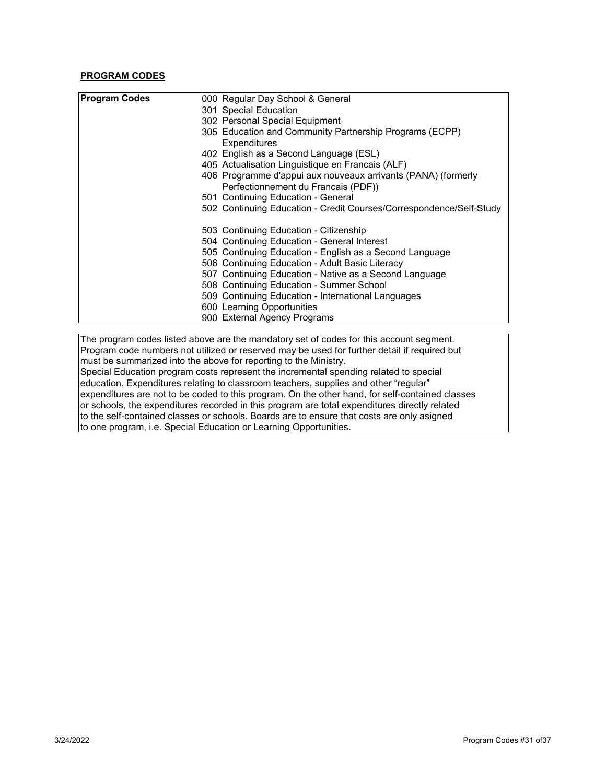# **PROGRAM CODES**

| <b>Program Codes</b> | 000 Regular Day School & General                                    |
|----------------------|---------------------------------------------------------------------|
|                      | 301 Special Education                                               |
|                      | 302 Personal Special Equipment                                      |
|                      | 305 Education and Community Partnership Programs (ECPP)             |
|                      | Expenditures                                                        |
|                      | 402 English as a Second Language (ESL)                              |
|                      | 405 Actualisation Linguistique en Francais (ALF)                    |
|                      | 406 Programme d'appui aux nouveaux arrivants (PANA) (formerly       |
|                      | Perfectionnement du Francais (PDF))                                 |
|                      | 501 Continuing Education - General                                  |
|                      | 502 Continuing Education - Credit Courses/Correspondence/Self-Study |
|                      | 503 Continuing Education - Citizenship                              |
|                      | 504 Continuing Education - General Interest                         |
|                      | 505 Continuing Education - English as a Second Language             |
|                      | 506 Continuing Education - Adult Basic Literacy                     |
|                      | 507 Continuing Education - Native as a Second Language              |
|                      | 508 Continuing Education - Summer School                            |
|                      | 509 Continuing Education - International Languages                  |
|                      | 600 Learning Opportunities                                          |
|                      | 900 External Agency Programs                                        |

The program codes listed above are the mandatory set of codes for this account segment. Program code numbers not utilized or reserved may be used for further detail if required but must be summarized into the above for reporting to the Ministry. Special Education program costs represent the incremental spending related to special education. Expenditures relating to classroom teachers, supplies and other "regular" expenditures are not to be coded to this program. On the other hand, for self-contained classes or schools, the expenditures recorded in this program are total expenditures directly related to the self-contained classes or schools. Boards are to ensure that costs are only asigned to one program, i.e. Special Education or Learning Opportunities.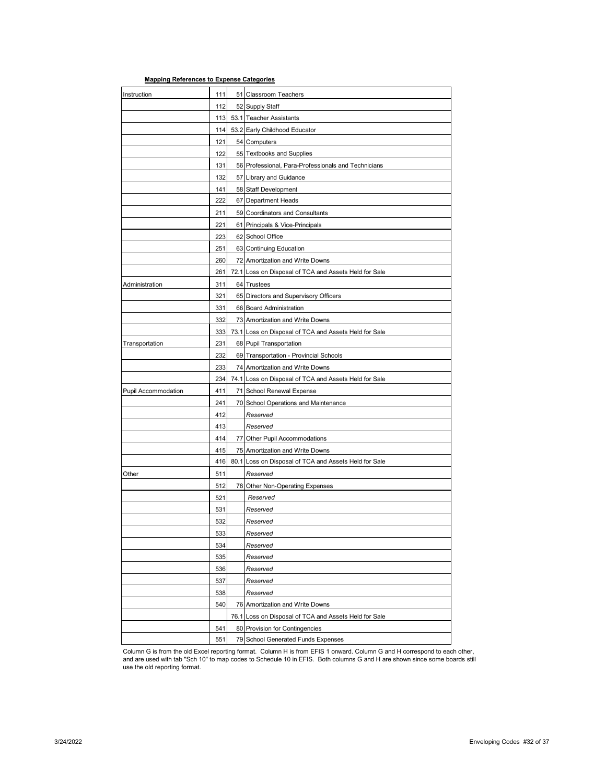# **Mapping References to Expense Categories**

| Instruction         | 111        | 51 Classroom Teachers                                                              |
|---------------------|------------|------------------------------------------------------------------------------------|
|                     | 112        | 52 Supply Staff                                                                    |
|                     | 113        | 53.1 Teacher Assistants                                                            |
|                     | 114        | 53.2 Early Childhood Educator                                                      |
|                     | 121        | 54 Computers                                                                       |
|                     | 122        | 55 Textbooks and Supplies                                                          |
|                     | 131        | 56 Professional, Para-Professionals and Technicians                                |
|                     | 132        | 57 Library and Guidance                                                            |
|                     | 141        | 58 Staff Development                                                               |
|                     | 222        | 67 Department Heads                                                                |
|                     | 211        | 59 Coordinators and Consultants                                                    |
|                     | 221        | 61 Principals & Vice-Principals                                                    |
|                     | 223        | 62 School Office                                                                   |
|                     | 251        | 63 Continuing Education                                                            |
|                     | 260        | 72 Amortization and Write Downs                                                    |
|                     | 261        | 72.1 Loss on Disposal of TCA and Assets Held for Sale                              |
| Administration      | 311        | 64 Trustees                                                                        |
|                     | 321        | 65 Directors and Supervisory Officers                                              |
|                     | 331        | 66 Board Administration                                                            |
|                     | 332        | 73 Amortization and Write Downs                                                    |
|                     | 333        | 73.1 Loss on Disposal of TCA and Assets Held for Sale                              |
| Transportation      | 231        | 68 Pupil Transportation                                                            |
|                     | 232        | 69 Transportation - Provincial Schools                                             |
|                     | 233        | 74 Amortization and Write Downs                                                    |
| Pupil Accommodation | 234<br>411 | 74.1 Loss on Disposal of TCA and Assets Held for Sale<br>71 School Renewal Expense |
|                     | 241        | 70 School Operations and Maintenance                                               |
|                     | 412        | Reserved                                                                           |
|                     | 413        | Reserved                                                                           |
|                     | 414        | 77 Other Pupil Accommodations                                                      |
|                     | 415        | 75 Amortization and Write Downs                                                    |
|                     | 416        | 80.1 Loss on Disposal of TCA and Assets Held for Sale                              |
| Other               | 511        | Reserved                                                                           |
|                     | 512        | 78 Other Non-Operating Expenses                                                    |
|                     | 521        | Reserved                                                                           |
|                     | 531        | Reserved                                                                           |
|                     | 532        | Reserved                                                                           |
|                     | 533        | Reserved                                                                           |
|                     | 534        | Reserved                                                                           |
|                     | 535        | Reserved                                                                           |
|                     | 536        | Reserved                                                                           |
|                     | 537        | Reserved                                                                           |
|                     | 538        | Reserved                                                                           |
|                     | 540        | 76 Amortization and Write Downs                                                    |
|                     |            | 76.1 Loss on Disposal of TCA and Assets Held for Sale                              |
|                     | 541        | 80 Provision for Contingencies                                                     |
|                     | 551        | 79 School Generated Funds Expenses                                                 |

Column G is from the old Excel reporting format. Column H is from EFIS 1 onward. Column G and H correspond to each other,<br>and are used with tab "Sch 10" to map codes to Schedule 10 in EFIS. Both columns G and H are shown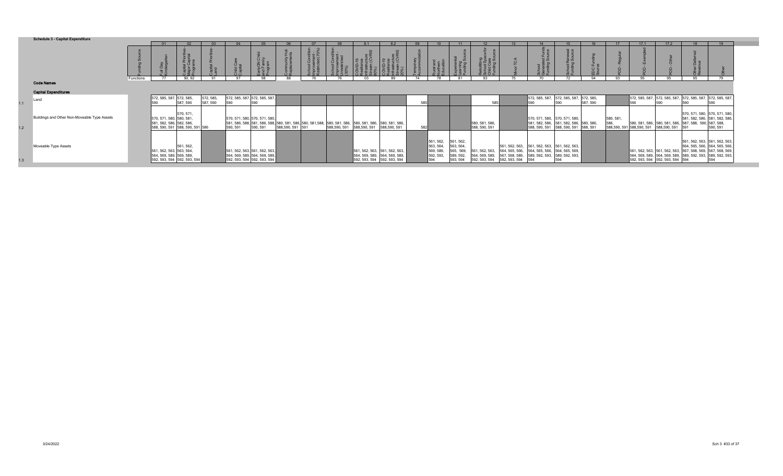|     | <b>Schedule 3 - Capital Expenditure</b>      |           |                                                                    |           |                       |            |                                                                |    |                         |                                                                                                                                                                                                                                                              |                                                                                                                                                                                                                                                                                                                                                                                                                                |            |                   |                                                  |                                                  |                                          |                                                    |                       |                                                                                                    |          |          |                                                                                        |                               |                          |                                                                               |  |
|-----|----------------------------------------------|-----------|--------------------------------------------------------------------|-----------|-----------------------|------------|----------------------------------------------------------------|----|-------------------------|--------------------------------------------------------------------------------------------------------------------------------------------------------------------------------------------------------------------------------------------------------------|--------------------------------------------------------------------------------------------------------------------------------------------------------------------------------------------------------------------------------------------------------------------------------------------------------------------------------------------------------------------------------------------------------------------------------|------------|-------------------|--------------------------------------------------|--------------------------------------------------|------------------------------------------|----------------------------------------------------|-----------------------|----------------------------------------------------------------------------------------------------|----------|----------|----------------------------------------------------------------------------------------|-------------------------------|--------------------------|-------------------------------------------------------------------------------|--|
|     |                                              |           |                                                                    |           |                       |            |                                                                |    |                         |                                                                                                                                                                                                                                                              |                                                                                                                                                                                                                                                                                                                                                                                                                                |            | - 09              |                                                  |                                                  |                                          |                                                    |                       |                                                                                                    |          |          | 17.1                                                                                   | 17.2                          |                          |                                                                               |  |
|     |                                              |           | y<br>Veg                                                           |           |                       |            |                                                                |    | $\widehat{\phantom{a}}$ | ol Condit<br>vement<br>stricted                                                                                                                                                                                                                              | $\begin{tabular}{ c c } \hline \textbf{D-19} \\ \hline \textbf{B} \\\textbf{m} \\\textbf{m} \\\textbf{m} \\\textbf{m} \\\textbf{m} \\\textbf{m} \\\textbf{m} \\\textbf{m} \\\textbf{m} \\\textbf{m} \\\textbf{m} \\\textbf{m} \\\textbf{m} \\\textbf{m} \\\textbf{m} \\\textbf{m} \\\textbf{m} \\\textbf{m} \\\textbf{m} \\\textbf{m} \\\textbf{m} \\\textbf{m} \\\textbf{m} \\\textbf{m} \\\textbf{m} \\\textbf{m} \\\textbf$ | 98<br>ಕೆ ಲ | mporary<br>commod |                                                  |                                                  | ronung<br>Iool Spa<br>Id Care<br>Iding S |                                                    | ະ ຜ<br>$\overline{a}$ | န္ ဖ                                                                                               |          |          |                                                                                        |                               | $\Omega$                 |                                                                               |  |
|     |                                              | Functions |                                                                    | 90.92     | $^{\circ}$            | $^{\circ}$ | 98                                                             | 88 |                         |                                                                                                                                                                                                                                                              | n3                                                                                                                                                                                                                                                                                                                                                                                                                             |            |                   |                                                  | 81                                               | ດຈ                                       |                                                    | 70                    |                                                                                                    | 94       | ۵3       | 95                                                                                     | QF                            | QF                       | 70                                                                            |  |
|     | <b>Code Names</b>                            |           |                                                                    |           |                       |            |                                                                |    |                         |                                                                                                                                                                                                                                                              |                                                                                                                                                                                                                                                                                                                                                                                                                                |            |                   |                                                  |                                                  |                                          |                                                    |                       |                                                                                                    |          |          |                                                                                        |                               |                          |                                                                               |  |
|     | <b>Capital Expenditures</b>                  |           |                                                                    |           |                       |            |                                                                |    |                         |                                                                                                                                                                                                                                                              |                                                                                                                                                                                                                                                                                                                                                                                                                                |            |                   |                                                  |                                                  |                                          |                                                    |                       |                                                                                                    |          |          |                                                                                        |                               |                          |                                                                               |  |
| 1.1 | Land                                         |           | 572, 585, 587, 572, 585,<br>man                                    | 587, 590  | 572, 585,<br>587, 590 | 590        | 572, 585, 587, 572, 585, 587,                                  |    |                         |                                                                                                                                                                                                                                                              |                                                                                                                                                                                                                                                                                                                                                                                                                                |            | 585h              |                                                  |                                                  | 585                                      |                                                    | 572, 585, 587,<br>590 | 572, 585, 587, 572, 585,                                                                           | 587, 590 |          | 572, 585, 587, 572, 585, 587, 572, 585, 587, 572, 585, 587,<br>590                     |                               |                          |                                                                               |  |
| 1.2 | Buildings and Other Non-Moveable Type Assets |           | 570, 571, 580, 580, 581,<br>581, 582, 586, 582, 586, 588, 590, 591 | 570, 571, |                       |            | 570, 571, 580, 570, 571, 580,                                  |    |                         | 581, 586, 588, 581, 586, 588, 580, 581, 586, 580, 581, 588, 581, 586, 580, 581, 586, 580, 581, 586, 580, 581, 586, 580, 581, 586, 580, 581, 586, 580, 581, 586, 580, 591, 588, 590, 591, 588, 590, 591, 588, 590, 591, 588, 590<br>588,590, 591 588,590, 591 |                                                                                                                                                                                                                                                                                                                                                                                                                                |            | 582               |                                                  |                                                  | 580, 581, 586,<br>588, 590, 591          |                                                    | 588, 590, 591         | 570, 571, 580, 570, 571, 580,<br>581, 582, 586, 581, 582, 586, 580, 586,<br>588, 590, 591 588, 591 |          | 580, 581 | 586, 581, 580, 581, 586, 580, 581, 586, 587, 588, 590, 591 588, 590, 591 588, 590, 591 |                               | 587, 588, 590, 587, 588, | 570, 571, 580, 570, 571, 580, 581, 582, 586,<br>590.591                       |  |
|     | Moveable Type Assets                         |           | 561, 562, 563, 564, 561, 562,<br>564, 569, 589, 569, 589,          |           |                       |            | 561, 562, 563, 561, 562, 563,<br>564, 569, 589, 564, 569, 589, |    |                         |                                                                                                                                                                                                                                                              | 561, 562, 563, 561, 562, 563,<br>564, 569, 589, 564, 569, 589,                                                                                                                                                                                                                                                                                                                                                                 |            |                   | 561, 562,<br>563, 564,<br>569, 589,<br>592, 593, | 561, 562,<br>563, 564,<br>565, 569,<br>589, 592, | 561, 562, 563,<br>564, 569, 589,         | 561, 562, 563,<br>564, 565, 566,<br>567, 568, 589, |                       | 561, 562, 563, 561, 562, 563, 564, 565, 566, 566, 565, 569,<br>589, 592, 593, 589, 592, 593,       |          |          | 564, 569, 589, 564, 569, 589, 589, 592, 593, 589, 592, 593,                            | 561, 562, 563, 561, 562, 563, |                          | 561, 562, 563, 561, 562, 563,<br>564, 565, 566, 564, 565, 566, 567, 568, 569, |  |
| 1.3 |                                              |           | 592, 593, 594 592, 593, 594                                        |           |                       |            | 592, 593, 594 592, 593, 594                                    |    |                         |                                                                                                                                                                                                                                                              | 592, 593, 594 592, 593, 594                                                                                                                                                                                                                                                                                                                                                                                                    |            |                   | 594                                              | 593, 594                                         | 592, 593, 594 592, 593, 594 594          |                                                    |                       |                                                                                                    |          |          | 592, 593, 594 592, 593, 594 594                                                        |                               |                          | 594                                                                           |  |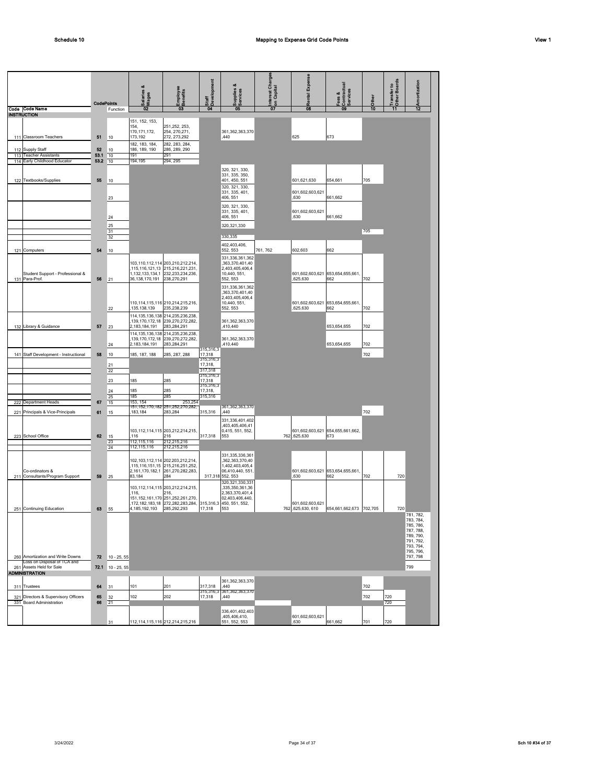|                                                                 | <b>CodePoints</b> |                | alaries &<br><b>Para</b><br>Wages                   | Employee<br>Benefits                                                                                                               | <b>Staff</b><br><b>R</b> Development        | upplies &<br><b>Suppes</b>                                                                       | Interest Charges<br>on Capital | <b>Rental Expense</b>                       | Fees &<br> Contractual<br> Services     | Other | <b>Transfer to</b><br>Other Boards<br>Other | Amortization                                                                                         |
|-----------------------------------------------------------------|-------------------|----------------|-----------------------------------------------------|------------------------------------------------------------------------------------------------------------------------------------|---------------------------------------------|--------------------------------------------------------------------------------------------------|--------------------------------|---------------------------------------------|-----------------------------------------|-------|---------------------------------------------|------------------------------------------------------------------------------------------------------|
| Code Code Name<br><b>INSTRUCTION</b>                            |                   | Function       | 02                                                  | $\boldsymbol{\alpha}$                                                                                                              |                                             | 05                                                                                               | $\overline{07}$                | 08                                          | 09                                      | 10    | 11                                          | $\overline{12}$                                                                                      |
| 111 Classroom Teachers                                          | 51                | 10             | 151, 152, 153,<br>154,<br>170, 171, 172,<br>173,192 | 251, 252, 253,<br>254, 270, 271,<br>272, 273, 292                                                                                  |                                             | 361,362,363,370<br>,440                                                                          |                                | 625                                         | 673                                     |       |                                             |                                                                                                      |
| 112 Supply Staff                                                | 52                | 10             | 182, 183, 184,<br>186, 189, 190                     | 282, 283, 284.<br>286, 289, 290                                                                                                    |                                             |                                                                                                  |                                |                                             |                                         |       |                                             |                                                                                                      |
| 113 Teacher Assistants<br>114 Early Childhood Educator          | 53.1<br>53.2      | 10<br>10       | 191<br>194,195                                      | 291<br>294, 295                                                                                                                    |                                             |                                                                                                  |                                |                                             |                                         |       |                                             |                                                                                                      |
| 122 Textbooks/Supplies                                          | 55                | 10<br>23       |                                                     |                                                                                                                                    |                                             | 320, 321, 330,<br>331, 335, 350,<br>401, 450, 551<br>320, 321, 330,<br>331, 335, 401,<br>406.551 |                                | 601,621,630<br>601,602,603,621<br>,630      | 654,661<br>661,662                      | 705   |                                             |                                                                                                      |
|                                                                 |                   | 24<br>25       |                                                     |                                                                                                                                    |                                             | 320, 321, 330,<br>331, 335, 401,<br>406, 551<br>320, 321, 330                                    |                                | 601,602,603,621<br>.630                     | 661,662                                 |       |                                             |                                                                                                      |
|                                                                 |                   | 31             |                                                     |                                                                                                                                    |                                             |                                                                                                  |                                |                                             |                                         | 705   |                                             |                                                                                                      |
| 121 Computers                                                   | 54                | 32<br>10       |                                                     |                                                                                                                                    |                                             | 330,335<br>402,403,406,<br>552, 553<br>331,336,361,362                                           | 761, 762                       | 602,603                                     | 662                                     |       |                                             |                                                                                                      |
| Student Support - Professional &<br>131 Para-Prof.              | 56                | 21             | 36, 138, 170, 191                                   | 103,110,112,114 203,210,212,214,<br>,115,116,121,13 215,216,221,231,<br>1, 132, 133, 134, 1 232, 233, 234, 236,<br>238,270,291     |                                             | ,363,370,401,40<br>2,403,405,406,4<br>10,440, 551,<br>552, 553                                   |                                | 601,602,603,621 653,654,655,661<br>,625,630 | 662                                     | 702   |                                             |                                                                                                      |
|                                                                 |                   | 22             | 135, 138, 139                                       | 110, 114, 115, 116 210, 214, 215, 216,<br>235,238,239                                                                              |                                             | 331,336,361,362<br>,363,370,401,40<br>2,403,405,406,4<br>10,440, 551,<br>552, 553                |                                | 601,602,603,621<br>,625,630                 | 653,654,655,661<br>662                  | 702   |                                             |                                                                                                      |
| 132 Library & Guidance                                          | 57                | 23             | 2,183,184,191                                       | 114, 135, 136, 138 214, 235, 236, 238,<br>,139,170,172,18 239,270,272,282,<br>283,284,291                                          |                                             | 361,362,363,370<br>410,440                                                                       |                                |                                             | 653,654,655                             | 702   |                                             |                                                                                                      |
|                                                                 |                   | 24             | 2,183,184,191                                       | 114, 135, 136, 138 214, 235, 236, 238,<br>,139,170,172,18 239,270,272,282,<br>283,284,291                                          | 315,316,3                                   | 361,362,363,370<br>410,440                                                                       |                                |                                             | 653.654.655                             | 702   |                                             |                                                                                                      |
| 141 Staff Development - Instructional                           | 58                | 10<br>21<br>22 | 185, 187, 188                                       | 285, 287, 288                                                                                                                      | 17,318<br>315,316,3<br>17,318,<br>317,318   |                                                                                                  |                                |                                             |                                         | 702   |                                             |                                                                                                      |
|                                                                 |                   | 23<br>24       | 185<br>185                                          | 285<br>285                                                                                                                         | 315,316,3<br>17,318<br>315,316,3<br>17,318, |                                                                                                  |                                |                                             |                                         |       |                                             |                                                                                                      |
| <b>Department Heads</b><br>222                                  | 67                | 25             | 185<br>153, 154                                     | 285<br>253,254                                                                                                                     | 315,316                                     |                                                                                                  |                                |                                             |                                         |       |                                             |                                                                                                      |
| 221 Principals & Vice-Principals                                | 61                | 15             | 183,184                                             | 151, 152, 170, 182 251, 252, 270, 282,<br>283,284                                                                                  | 315,316                                     | 361,362,363,370<br>440                                                                           |                                |                                             |                                         | 702   |                                             |                                                                                                      |
| 223 School Office                                               | 62                | 15<br>15       | 116                                                 | 103, 112, 114, 115 203, 212, 214, 215,<br>216                                                                                      | 317,318                                     | 331,336,401,402<br>403,405,406,41<br>0,415, 551, 552,<br>553                                     |                                | 762,625,630                                 | 601,602,603,621 654,655,661,662,<br>673 |       |                                             |                                                                                                      |
|                                                                 |                   | 23<br>24       | 112, 115, 116<br>112, 115, 116                      | 212,215,216<br>212,215,216<br>102, 103, 112, 114 202, 203, 212, 214,                                                               |                                             | 331.335.336.361<br>,362,363,370,40                                                               |                                |                                             |                                         |       |                                             |                                                                                                      |
| Co-ordinators &<br>211 Consultants/Program Support              | 59                | 25             | 83,184                                              | 115.116.151.15 215.216.251.252.<br>2,161,170,182,1 261,270,282,283,<br>284                                                         |                                             | 1,402,403,405,4<br>06,410,440, 551,<br>317,318 552, 553<br>320, 321, 330, 331                    |                                | 601,602,603,621 653,654,655,661<br>,630     | 662                                     | 702   | 720                                         |                                                                                                      |
| 251 Continuing Education                                        | 63                | 55             | 116<br>4, 185, 192, 193 285, 292, 293               | 103, 112, 114, 115 203, 212, 214, 215,<br>216,<br>151, 152, 161, 170 251, 252, 261, 270,<br>,172, 182, 183, 18 272, 282, 283, 284, | 17,318                                      | ,335,350,361,36<br>2,363,370,401,4<br>02,403,406,440,<br>315,316,3 450, 551, 552,<br>553         |                                | 601,602,603,621<br>762,625,630,610          | 654,661,662,673 702,705                 |       | 720                                         |                                                                                                      |
|                                                                 |                   |                |                                                     |                                                                                                                                    |                                             |                                                                                                  |                                |                                             |                                         |       |                                             | 781, 782,<br>783, 784,<br>785, 786,<br>787, 788,<br>789, 790,<br>791, 792,<br>793, 794,<br>795, 796, |
| 260 Amortization and Write Downs<br>Loss on Disposal of TCA and | 72                | $10 - 25, 55$  |                                                     |                                                                                                                                    |                                             |                                                                                                  |                                |                                             |                                         |       |                                             | 797, 798                                                                                             |
| 261 Assets Held for Sale<br><b>ADMINISTRATION</b>               | 72.1              | $10 - 25, 55$  |                                                     |                                                                                                                                    |                                             |                                                                                                  |                                |                                             |                                         |       |                                             | 799                                                                                                  |
| 311 Trustees                                                    | 64                | 31             | 101                                                 | 201                                                                                                                                | 317,318                                     | 361,362,363,370<br>440                                                                           |                                |                                             |                                         | 702   |                                             |                                                                                                      |
| 321 Directors & Supervisory Officers                            | 65                | 32             | 102                                                 | 202                                                                                                                                | 315,316,3<br>17,318                         | 361,362,363,370<br>,440                                                                          |                                |                                             |                                         | 702   | 720                                         |                                                                                                      |
| 331 Board Administration                                        | 66                | 21             |                                                     |                                                                                                                                    |                                             |                                                                                                  |                                |                                             |                                         |       | 720                                         |                                                                                                      |
|                                                                 |                   | 31             |                                                     | 112, 114, 115, 116 212, 214, 215, 216                                                                                              |                                             | 336.401.402.403<br>405,406,410,<br>551, 552, 553                                                 |                                | 601,602,603,621<br>,630                     | 661,662                                 | 701   | 720                                         |                                                                                                      |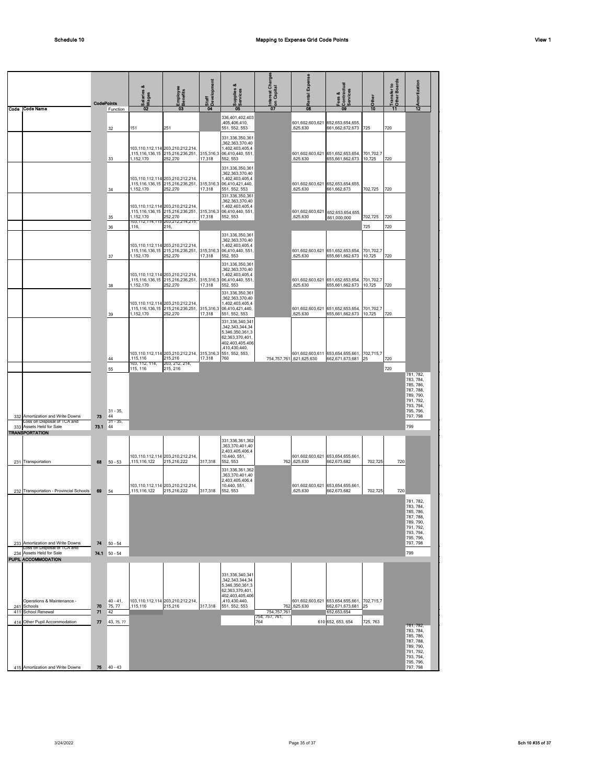|            |                                                                              | <b>CodePoints</b> |                       | Salaries &<br>Wages                   | imployee<br>kenefits<br>58                                                                         | Development<br>Staff | Supplies &                                                                                                                    | Interest Charges<br><sup>1</sup> on Capital | Expense<br>Rental                            | Fees &<br>SContractual<br>Services                            | Other               | Transfer to<br>Other Boards | mortization                                                                             |
|------------|------------------------------------------------------------------------------|-------------------|-----------------------|---------------------------------------|----------------------------------------------------------------------------------------------------|----------------------|-------------------------------------------------------------------------------------------------------------------------------|---------------------------------------------|----------------------------------------------|---------------------------------------------------------------|---------------------|-----------------------------|-----------------------------------------------------------------------------------------|
| Code       | Code Name                                                                    |                   | Function              | 02                                    | 03                                                                                                 | 04                   | 05<br>336,401,402,403<br>,405,406,410,                                                                                        | 07                                          | 08<br>601,602,603,621                        | 09<br>652, 653, 654, 655,                                     | 10                  |                             | 12                                                                                      |
|            |                                                                              |                   | 32                    | 151                                   | 251                                                                                                |                      | 551, 552, 553<br>331,336,350,361                                                                                              |                                             | ,625,630                                     | 661, 662, 672, 673                                            | 725                 | 720                         |                                                                                         |
|            |                                                                              |                   | 33                    | ,115,116,136,15<br>1,152,170          | 103,110,112,114 203,210,212,214<br>215,216,236,251<br>252,270                                      | 17,318               | ,362,363,370,40<br>1,402,403,405,4<br>315,316,3 06,410,440, 551<br>552, 553                                                   |                                             | ,625,630                                     | 601,602,603,621 651,652,653,654,<br>655,661,662,673           | 701,702,7<br>10,725 | 720                         |                                                                                         |
|            |                                                                              |                   | 34                    | 1,152,170                             | 103,110,112,114 203,210,212,214<br>115, 116, 136, 15 215, 216, 236, 251,<br>252,270                | 17,318               | 331,336,350,361<br>.362.363.370.40<br>1,402,403,405,4<br>315,316,3 06,410,421,440,<br>551, 552, 553                           |                                             | 601,602,603,621 652,653,654,655,<br>.625,630 | 661,662,673                                                   | 702,725             | 720                         |                                                                                         |
|            |                                                                              |                   | 35                    | 1,152,170                             | 103, 110, 112, 114 203, 210, 212, 214,<br>,115,116,136,15 215,216,236,251,<br>252,270              | 17,318               | 331,336,350,361<br>,362,363,370,40<br>1,402,403,405,4<br>315,316,3 06,410,440, 551,<br>552, 553                               |                                             | 601,602,603,621<br>,625,630                  | 652,653,654,655,<br>661,000,000                               | 702,725             | 720                         |                                                                                         |
|            |                                                                              |                   | 36                    | 103,112,114,115<br>.116,              | 203,212,214,215<br>216,                                                                            |                      | 331,336,350,361                                                                                                               |                                             |                                              |                                                               | 725                 | 720                         |                                                                                         |
|            |                                                                              |                   | 37                    | ,115,116,136,15<br>1,152,170          | 103,110,112,114 203,210,212,214<br>215,216,236,251,<br>252,270                                     | 17,318               | ,362,363,370,40<br>1,402,403,405,4<br>315,316,3 06,410,440, 551,<br>552, 553                                                  |                                             | ,625,630                                     | 601,602,603,621 651,652,653,654,<br>655,661,662,673           | 701,702,7<br>10,725 | 720                         |                                                                                         |
|            |                                                                              |                   | 38                    | 1,152,170                             | 103,110,112,114 203,210,212,214<br>,115,116,136,15 215,216,236,251,<br>252,270                     | 17,318               | 331,336,350,361<br>,362,363,370,40<br>1,402,403,405,4<br>315,316,3 06,410,440, 551,<br>552, 553                               |                                             | 601,602,603,621 651,652,653,654,<br>,625,630 | 655, 661, 662, 673                                            | 701,702,7<br>10,725 | 720                         |                                                                                         |
|            |                                                                              |                   | 39                    | 1,152,170                             | 103,110,112,114 203,210,212,214<br>,115,116,136,15 215,216,236,251,<br>252,270                     | 17,318               | 331,336,350,361<br>,362,363,370,40<br>1,402,403,405,4<br>315,316,3 06,410,421,440,<br>551, 552, 553                           |                                             | 601,602,603,621 651,652,653,654,<br>,625,630 | 655,661,662,673                                               | 701,702,7<br>10,725 | 720                         |                                                                                         |
|            |                                                                              |                   |                       |                                       |                                                                                                    |                      | 331,336,340,341<br>,342,343,344,34<br>5.346.350.361.3<br>62,363,370,401,<br>402,403,405,406                                   |                                             |                                              |                                                               |                     |                             |                                                                                         |
|            |                                                                              |                   | 44<br>55              | 115,116<br>103, 112, 114,<br>115, 116 | 103,110,112,114 203,210,212,214, 315,316,3 551, 552, 553,<br>215,216<br>203, 212, 214,<br>215, 216 | 17,318               | ,410,430,440,<br>760                                                                                                          |                                             | 754, 757, 761, 621, 625, 630                 | 601,602,603,611 653,654,655,661,<br>662,671,673,681           | 702,715,7<br>25     | 720<br>720                  |                                                                                         |
|            |                                                                              |                   |                       |                                       |                                                                                                    |                      |                                                                                                                               |                                             |                                              |                                                               |                     |                             | 781, 782,<br>783, 784,<br>785, 786,<br>787, 788,<br>789, 790,<br>791, 792,              |
|            | 332 Amortization and Write Downs                                             | 73                | $31 - 35,$<br>44      |                                       |                                                                                                    |                      |                                                                                                                               |                                             |                                              |                                                               |                     |                             | 793, 794,<br>795, 796,<br>797, 798                                                      |
| 333        | Loss on Disposal of TCA and<br>Assets Held for Sale<br><b>TRANSPORTATION</b> | 73.1              | $31 - 35$<br>44       |                                       |                                                                                                    |                      |                                                                                                                               |                                             |                                              |                                                               |                     |                             | 799                                                                                     |
|            | 231 Transportation                                                           | 68                | $50 - 53$             | ,115,116,122                          | 103,110,112,114 203,210,212,214,<br>215,216,222                                                    | 317,318              | 331,336,361,362<br>,363,370,401,40<br>2,403,405,406,4<br>10,440, 551,<br>552, 553                                             |                                             | 762,625,630                                  | 601,602,603,621 653,654,655,661,<br>662,673,682               | 702,725             | 720                         |                                                                                         |
|            | 232 Transportation - Provincial Schools                                      | 69                | 54                    | 115.116.122                           | 103,110,112,114 203,210,212,214<br>215,216,222                                                     | 317.318              | 331,336,361,362<br>,363,370,401,40<br>2,403,405,406,4<br>10,440, 551,<br>552.553                                              |                                             | 601,602,603,621 653,654,655,661,<br>,625,630 | 662,673,682                                                   | 702.725             | 720                         |                                                                                         |
|            |                                                                              |                   |                       |                                       |                                                                                                    |                      |                                                                                                                               |                                             |                                              |                                                               |                     |                             | 781, 782,<br>783, 784.<br>785, 786,<br>787, 788,<br>789, 790,<br>791, 792,              |
|            | 233 Amortization and Write Downs<br>Loss on Disposal of TCA and              | 74                | $50 - 54$             |                                       |                                                                                                    |                      |                                                                                                                               |                                             |                                              |                                                               |                     |                             | 793, 794,<br>795, 796,<br>797, 798                                                      |
|            | 234 Assets Held for Sale<br><b>PUPIL ACCOMMODATION</b>                       |                   | 74.1 50 - 54          |                                       |                                                                                                    |                      |                                                                                                                               |                                             |                                              |                                                               |                     |                             | 799                                                                                     |
| 241        | Operations & Maintenance -<br>Schools                                        | 70                | $40 - 41$ ,<br>75, 77 | ,115,116                              | 103,110,112,114 203,210,212,214,<br>215,216                                                        | 317,318              | 331,336,340,341<br>,342,343,344,34<br>5,346,350,361,3<br>62,363,370,401,<br>402,403,405,406<br>,410,430,440,<br>551, 552, 553 |                                             | 762,625,630                                  | 601,602,603,621 653,654,655,661, 702,715,7<br>662,671,673,681 | 25                  |                             |                                                                                         |
| 411<br>414 | School Renewal<br>Other Pupil Accommodation                                  | 71<br>77          | 42<br>43, 75, 77      |                                       |                                                                                                    |                      |                                                                                                                               | 754,757,761<br>754, 757, 761,<br>764        |                                              | 652,653,654<br>610 652, 653, 654                              | 725, 763            |                             |                                                                                         |
|            |                                                                              |                   |                       |                                       |                                                                                                    |                      |                                                                                                                               |                                             |                                              |                                                               |                     |                             | 781, 782,<br>783, 784,<br>785, 786,<br>787, 788,<br>789, 790,<br>791, 792,<br>793, 794, |
|            | 415 Amortization and Write Downs                                             | 75                | $40 - 43$             |                                       |                                                                                                    |                      |                                                                                                                               |                                             |                                              |                                                               |                     |                             | 795, 796,<br>797, 798                                                                   |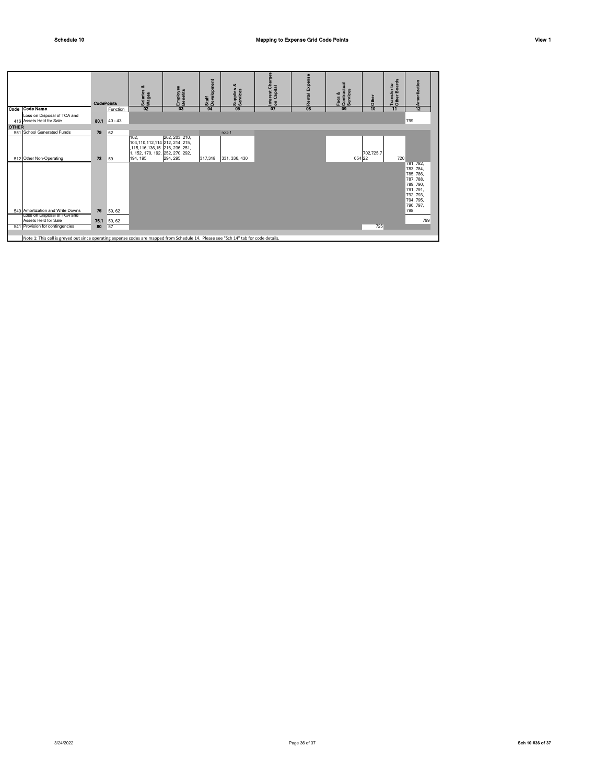